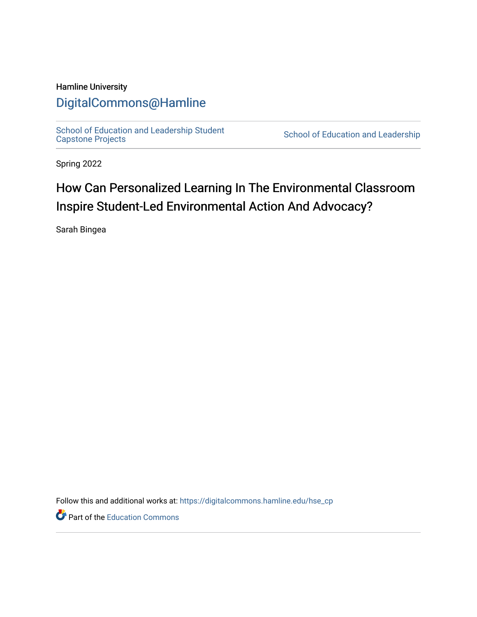## Hamline University

# [DigitalCommons@Hamline](https://digitalcommons.hamline.edu/)

[School of Education and Leadership Student](https://digitalcommons.hamline.edu/hse_cp)<br>Capstone Projects

School of Education and Leadership

Spring 2022

# How Can Personalized Learning In The Environmental Classroom Inspire Student-Led Environmental Action And Advocacy?

Sarah Bingea

Follow this and additional works at: [https://digitalcommons.hamline.edu/hse\\_cp](https://digitalcommons.hamline.edu/hse_cp?utm_source=digitalcommons.hamline.edu%2Fhse_cp%2F801&utm_medium=PDF&utm_campaign=PDFCoverPages) 

Part of the [Education Commons](https://network.bepress.com/hgg/discipline/784?utm_source=digitalcommons.hamline.edu%2Fhse_cp%2F801&utm_medium=PDF&utm_campaign=PDFCoverPages)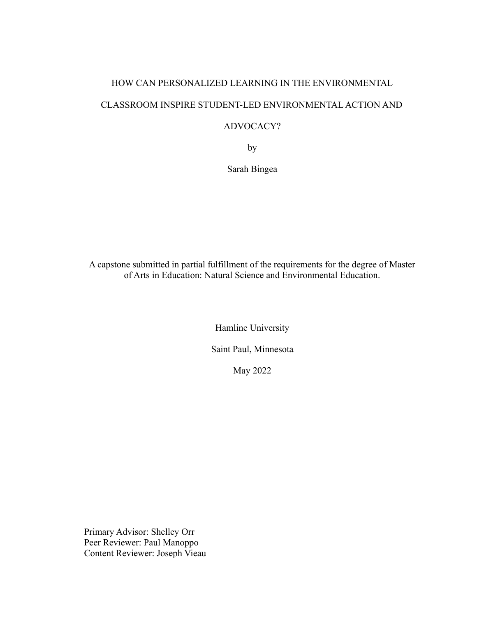# HOW CAN PERSONALIZED LEARNING IN THE ENVIRONMENTAL CLASSROOM INSPIRE STUDENT-LED ENVIRONMENTAL ACTION AND ADVOCACY?

by

Sarah Bingea

A capstone submitted in partial fulfillment of the requirements for the degree of Master of Arts in Education: Natural Science and Environmental Education.

Hamline University

Saint Paul, Minnesota

May 2022

Primary Advisor: Shelley Orr Peer Reviewer: Paul Manoppo Content Reviewer: Joseph Vieau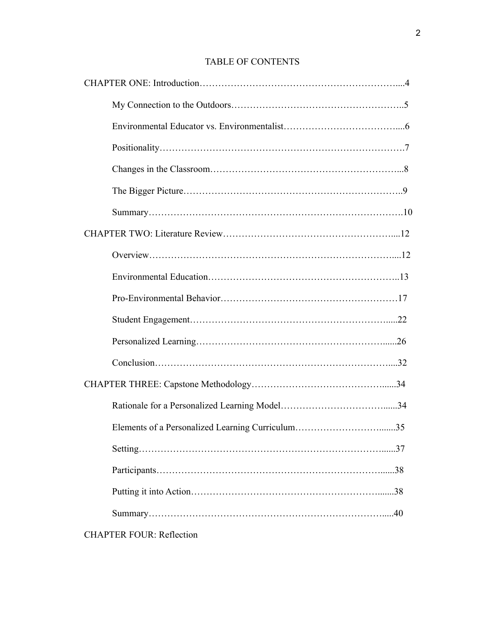## TABLE OF CONTENTS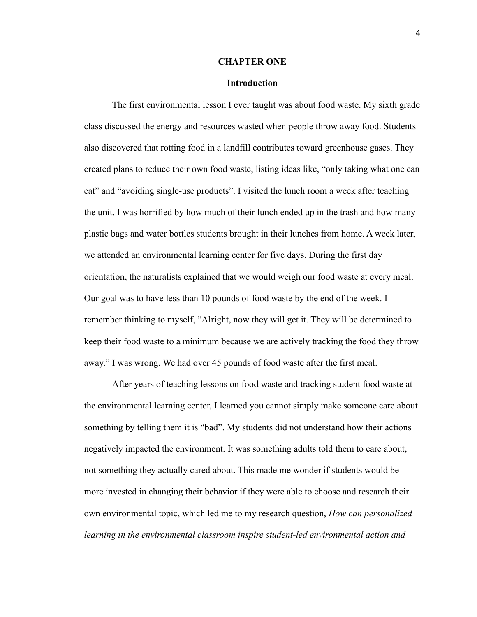#### **CHAPTER ONE**

### **Introduction**

The first environmental lesson I ever taught was about food waste. My sixth grade class discussed the energy and resources wasted when people throw away food. Students also discovered that rotting food in a landfill contributes toward greenhouse gases. They created plans to reduce their own food waste, listing ideas like, "only taking what one can eat" and "avoiding single-use products". I visited the lunch room a week after teaching the unit. I was horrified by how much of their lunch ended up in the trash and how many plastic bags and water bottles students brought in their lunches from home. A week later, we attended an environmental learning center for five days. During the first day orientation, the naturalists explained that we would weigh our food waste at every meal. Our goal was to have less than 10 pounds of food waste by the end of the week. I remember thinking to myself, "Alright, now they will get it. They will be determined to keep their food waste to a minimum because we are actively tracking the food they throw away." I was wrong. We had over 45 pounds of food waste after the first meal.

After years of teaching lessons on food waste and tracking student food waste at the environmental learning center, I learned you cannot simply make someone care about something by telling them it is "bad". My students did not understand how their actions negatively impacted the environment. It was something adults told them to care about, not something they actually cared about. This made me wonder if students would be more invested in changing their behavior if they were able to choose and research their own environmental topic, which led me to my research question, *How can personalized learning in the environmental classroom inspire student-led environmental action and*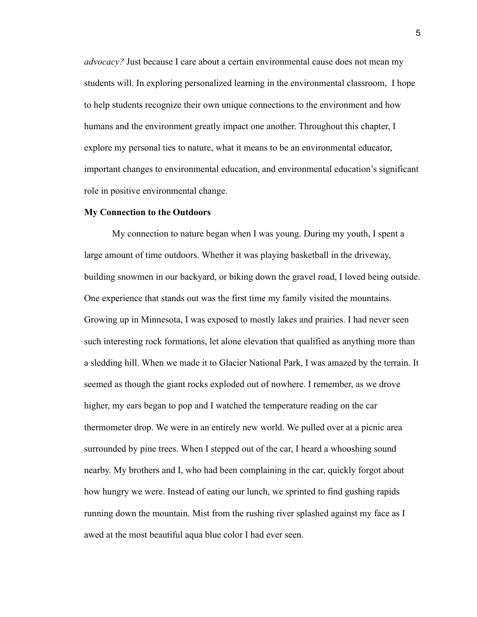*advocacy?* Just because I care about a certain environmental cause does not mean my students will. In exploring personalized learning in the environmental classroom, I hope to help students recognize their own unique connections to the environment and how humans and the environment greatly impact one another. Throughout this chapter, I explore my personal ties to nature, what it means to be an environmental educator, important changes to environmental education, and environmental education's significant role in positive environmental change.

#### **My Connection to the Outdoors**

My connection to nature began when I was young. During my youth, I spent a large amount of time outdoors. Whether it was playing basketball in the driveway, building snowmen in our backyard, or biking down the gravel road, I loved being outside. One experience that stands out was the first time my family visited the mountains. Growing up in Minnesota, I was exposed to mostly lakes and prairies. I had never seen such interesting rock formations, let alone elevation that qualified as anything more than a sledding hill. When we made it to Glacier National Park, I was amazed by the terrain. It seemed as though the giant rocks exploded out of nowhere. I remember, as we drove higher, my ears began to pop and I watched the temperature reading on the car thermometer drop. We were in an entirely new world. We pulled over at a picnic area surrounded by pine trees. When I stepped out of the car, I heard a whooshing sound nearby. My brothers and I, who had been complaining in the car, quickly forgot about how hungry we were. Instead of eating our lunch, we sprinted to find gushing rapids running down the mountain. Mist from the rushing river splashed against my face as I awed at the most beautiful aqua blue color I had ever seen.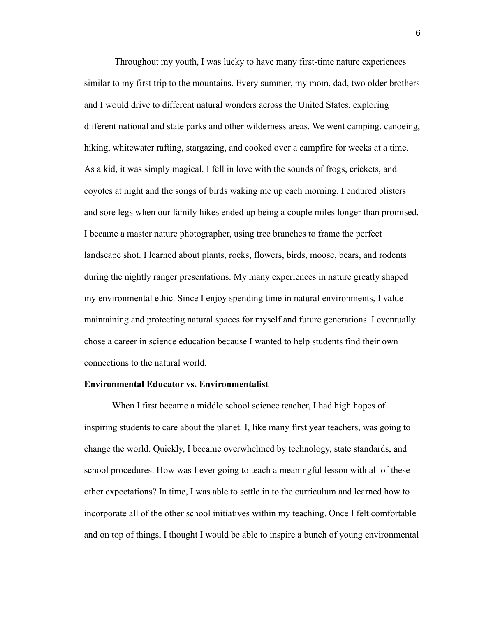Throughout my youth, I was lucky to have many first-time nature experiences similar to my first trip to the mountains. Every summer, my mom, dad, two older brothers and I would drive to different natural wonders across the United States, exploring different national and state parks and other wilderness areas. We went camping, canoeing, hiking, whitewater rafting, stargazing, and cooked over a campfire for weeks at a time. As a kid, it was simply magical. I fell in love with the sounds of frogs, crickets, and coyotes at night and the songs of birds waking me up each morning. I endured blisters and sore legs when our family hikes ended up being a couple miles longer than promised. I became a master nature photographer, using tree branches to frame the perfect landscape shot. I learned about plants, rocks, flowers, birds, moose, bears, and rodents during the nightly ranger presentations. My many experiences in nature greatly shaped my environmental ethic. Since I enjoy spending time in natural environments, I value maintaining and protecting natural spaces for myself and future generations. I eventually chose a career in science education because I wanted to help students find their own connections to the natural world.

## **Environmental Educator vs. Environmentalist**

When I first became a middle school science teacher, I had high hopes of inspiring students to care about the planet. I, like many first year teachers, was going to change the world. Quickly, I became overwhelmed by technology, state standards, and school procedures. How was I ever going to teach a meaningful lesson with all of these other expectations? In time, I was able to settle in to the curriculum and learned how to incorporate all of the other school initiatives within my teaching. Once I felt comfortable and on top of things, I thought I would be able to inspire a bunch of young environmental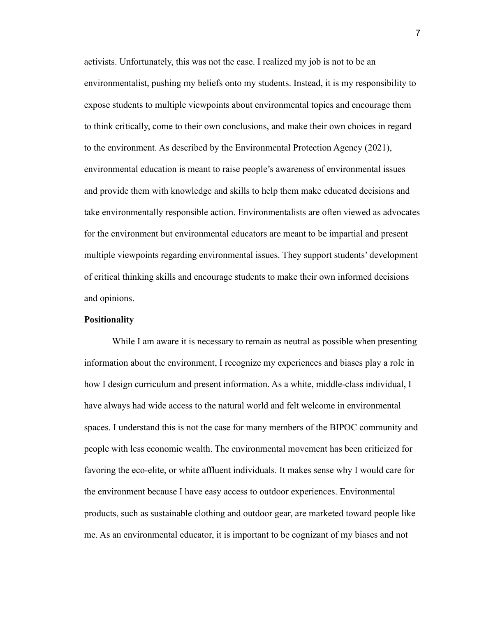activists. Unfortunately, this was not the case. I realized my job is not to be an environmentalist, pushing my beliefs onto my students. Instead, it is my responsibility to expose students to multiple viewpoints about environmental topics and encourage them to think critically, come to their own conclusions, and make their own choices in regard to the environment. As described by the Environmental Protection Agency (2021), environmental education is meant to raise people's awareness of environmental issues and provide them with knowledge and skills to help them make educated decisions and take environmentally responsible action. Environmentalists are often viewed as advocates for the environment but environmental educators are meant to be impartial and present multiple viewpoints regarding environmental issues. They support students' development of critical thinking skills and encourage students to make their own informed decisions and opinions.

## **Positionality**

While I am aware it is necessary to remain as neutral as possible when presenting information about the environment, I recognize my experiences and biases play a role in how I design curriculum and present information. As a white, middle-class individual, I have always had wide access to the natural world and felt welcome in environmental spaces. I understand this is not the case for many members of the BIPOC community and people with less economic wealth. The environmental movement has been criticized for favoring the eco-elite, or white affluent individuals. It makes sense why I would care for the environment because I have easy access to outdoor experiences. Environmental products, such as sustainable clothing and outdoor gear, are marketed toward people like me. As an environmental educator, it is important to be cognizant of my biases and not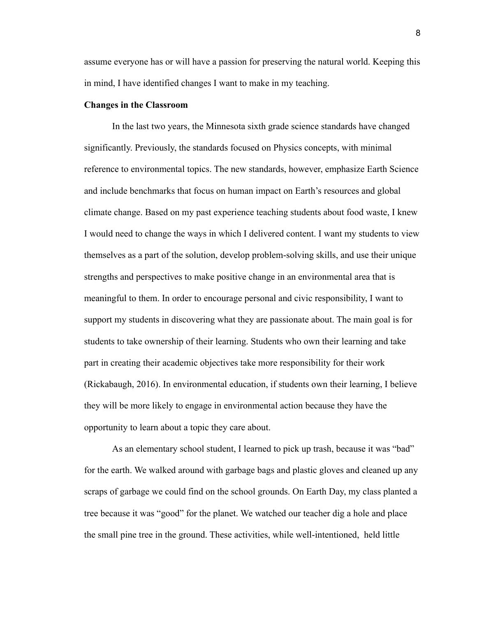assume everyone has or will have a passion for preserving the natural world. Keeping this in mind, I have identified changes I want to make in my teaching.

## **Changes in the Classroom**

In the last two years, the Minnesota sixth grade science standards have changed significantly. Previously, the standards focused on Physics concepts, with minimal reference to environmental topics. The new standards, however, emphasize Earth Science and include benchmarks that focus on human impact on Earth's resources and global climate change. Based on my past experience teaching students about food waste, I knew I would need to change the ways in which I delivered content. I want my students to view themselves as a part of the solution, develop problem-solving skills, and use their unique strengths and perspectives to make positive change in an environmental area that is meaningful to them. In order to encourage personal and civic responsibility, I want to support my students in discovering what they are passionate about. The main goal is for students to take ownership of their learning. Students who own their learning and take part in creating their academic objectives take more responsibility for their work (Rickabaugh, 2016). In environmental education, if students own their learning, I believe they will be more likely to engage in environmental action because they have the opportunity to learn about a topic they care about.

As an elementary school student, I learned to pick up trash, because it was "bad" for the earth. We walked around with garbage bags and plastic gloves and cleaned up any scraps of garbage we could find on the school grounds. On Earth Day, my class planted a tree because it was "good" for the planet. We watched our teacher dig a hole and place the small pine tree in the ground. These activities, while well-intentioned, held little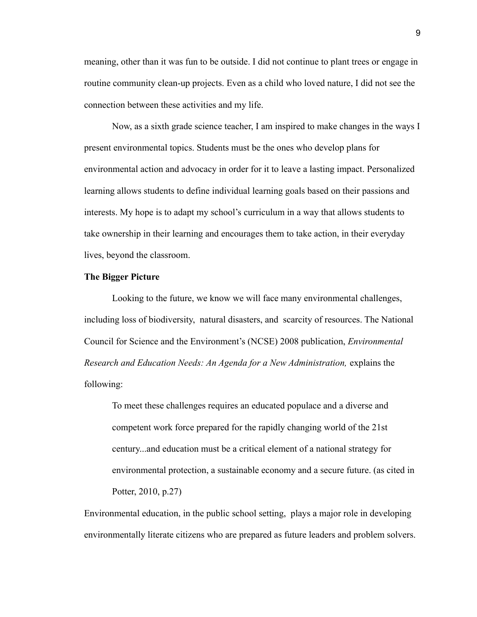meaning, other than it was fun to be outside. I did not continue to plant trees or engage in routine community clean-up projects. Even as a child who loved nature, I did not see the connection between these activities and my life.

Now, as a sixth grade science teacher, I am inspired to make changes in the ways I present environmental topics. Students must be the ones who develop plans for environmental action and advocacy in order for it to leave a lasting impact. Personalized learning allows students to define individual learning goals based on their passions and interests. My hope is to adapt my school's curriculum in a way that allows students to take ownership in their learning and encourages them to take action, in their everyday lives, beyond the classroom.

### **The Bigger Picture**

Looking to the future, we know we will face many environmental challenges, including loss of biodiversity, natural disasters, and scarcity of resources. The National Council for Science and the Environment's (NCSE) 2008 publication, *Environmental Research and Education Needs: An Agenda for a New Administration,* explains the following:

To meet these challenges requires an educated populace and a diverse and competent work force prepared for the rapidly changing world of the 21st century...and education must be a critical element of a national strategy for environmental protection, a sustainable economy and a secure future. (as cited in Potter, 2010, p.27)

Environmental education, in the public school setting, plays a major role in developing environmentally literate citizens who are prepared as future leaders and problem solvers.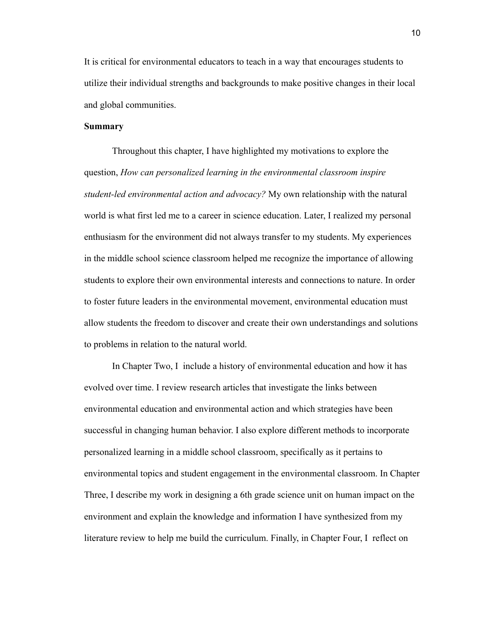It is critical for environmental educators to teach in a way that encourages students to utilize their individual strengths and backgrounds to make positive changes in their local and global communities.

## **Summary**

Throughout this chapter, I have highlighted my motivations to explore the question, *How can personalized learning in the environmental classroom inspire student-led environmental action and advocacy?* My own relationship with the natural world is what first led me to a career in science education. Later, I realized my personal enthusiasm for the environment did not always transfer to my students. My experiences in the middle school science classroom helped me recognize the importance of allowing students to explore their own environmental interests and connections to nature. In order to foster future leaders in the environmental movement, environmental education must allow students the freedom to discover and create their own understandings and solutions to problems in relation to the natural world.

In Chapter Two, I include a history of environmental education and how it has evolved over time. I review research articles that investigate the links between environmental education and environmental action and which strategies have been successful in changing human behavior. I also explore different methods to incorporate personalized learning in a middle school classroom, specifically as it pertains to environmental topics and student engagement in the environmental classroom. In Chapter Three, I describe my work in designing a 6th grade science unit on human impact on the environment and explain the knowledge and information I have synthesized from my literature review to help me build the curriculum. Finally, in Chapter Four, I reflect on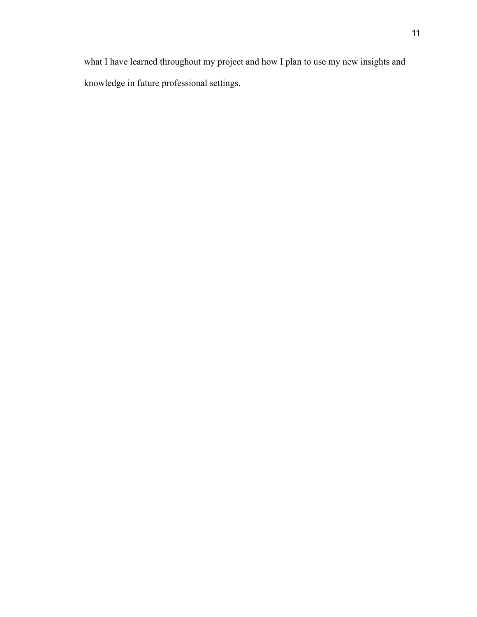what I have learned throughout my project and how I plan to use my new insights and knowledge in future professional settings.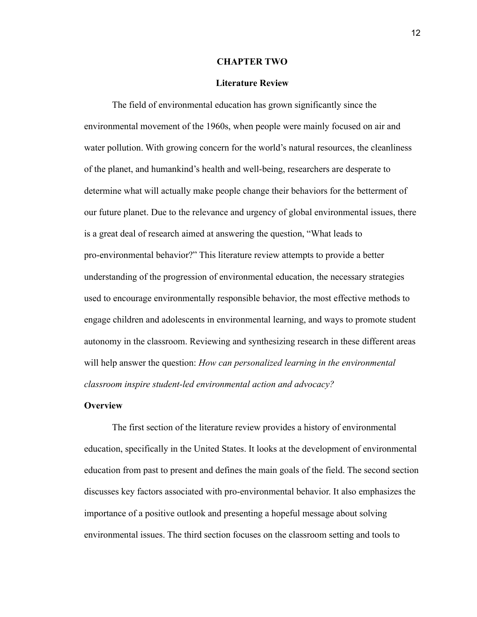#### **CHAPTER TWO**

#### **Literature Review**

The field of environmental education has grown significantly since the environmental movement of the 1960s, when people were mainly focused on air and water pollution. With growing concern for the world's natural resources, the cleanliness of the planet, and humankind's health and well-being, researchers are desperate to determine what will actually make people change their behaviors for the betterment of our future planet. Due to the relevance and urgency of global environmental issues, there is a great deal of research aimed at answering the question, "What leads to pro-environmental behavior?" This literature review attempts to provide a better understanding of the progression of environmental education, the necessary strategies used to encourage environmentally responsible behavior, the most effective methods to engage children and adolescents in environmental learning, and ways to promote student autonomy in the classroom. Reviewing and synthesizing research in these different areas will help answer the question: *How can personalized learning in the environmental classroom inspire student-led environmental action and advocacy?*

## **Overview**

The first section of the literature review provides a history of environmental education, specifically in the United States. It looks at the development of environmental education from past to present and defines the main goals of the field. The second section discusses key factors associated with pro-environmental behavior. It also emphasizes the importance of a positive outlook and presenting a hopeful message about solving environmental issues. The third section focuses on the classroom setting and tools to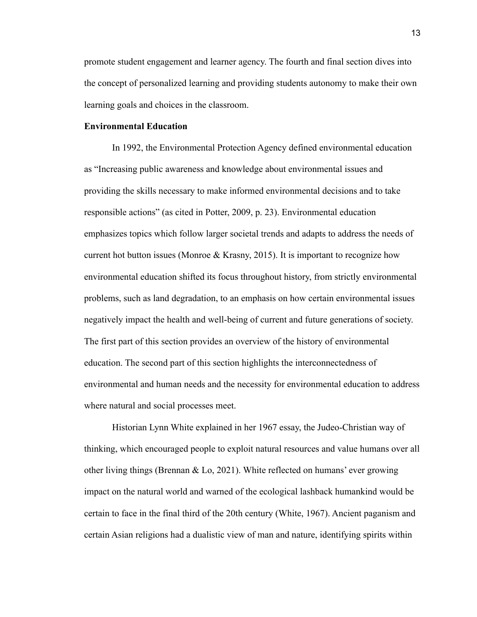promote student engagement and learner agency. The fourth and final section dives into the concept of personalized learning and providing students autonomy to make their own learning goals and choices in the classroom.

## **Environmental Education**

In 1992, the Environmental Protection Agency defined environmental education as "Increasing public awareness and knowledge about environmental issues and providing the skills necessary to make informed environmental decisions and to take responsible actions" (as cited in Potter, 2009, p. 23). Environmental education emphasizes topics which follow larger societal trends and adapts to address the needs of current hot button issues (Monroe  $\&$  Krasny, 2015). It is important to recognize how environmental education shifted its focus throughout history, from strictly environmental problems, such as land degradation, to an emphasis on how certain environmental issues negatively impact the health and well-being of current and future generations of society. The first part of this section provides an overview of the history of environmental education. The second part of this section highlights the interconnectedness of environmental and human needs and the necessity for environmental education to address where natural and social processes meet.

Historian Lynn White explained in her 1967 essay, the Judeo-Christian way of thinking, which encouraged people to exploit natural resources and value humans over all other living things (Brennan  $& Lo$ , 2021). White reflected on humans' ever growing impact on the natural world and warned of the ecological lashback humankind would be certain to face in the final third of the 20th century (White, 1967). Ancient paganism and certain Asian religions had a dualistic view of man and nature, identifying spirits within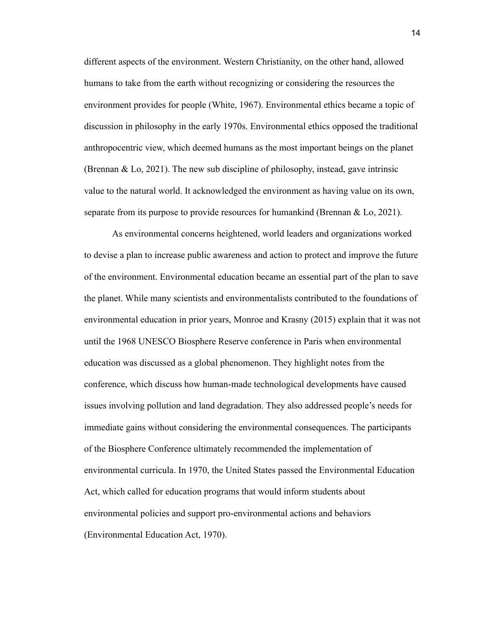different aspects of the environment. Western Christianity, on the other hand, allowed humans to take from the earth without recognizing or considering the resources the environment provides for people (White, 1967). Environmental ethics became a topic of discussion in philosophy in the early 1970s. Environmental ethics opposed the traditional anthropocentric view, which deemed humans as the most important beings on the planet (Brennan & Lo, 2021). The new sub discipline of philosophy, instead, gave intrinsic value to the natural world. It acknowledged the environment as having value on its own, separate from its purpose to provide resources for humankind (Brennan & Lo, 2021).

As environmental concerns heightened, world leaders and organizations worked to devise a plan to increase public awareness and action to protect and improve the future of the environment. Environmental education became an essential part of the plan to save the planet. While many scientists and environmentalists contributed to the foundations of environmental education in prior years, Monroe and Krasny (2015) explain that it was not until the 1968 UNESCO Biosphere Reserve conference in Paris when environmental education was discussed as a global phenomenon. They highlight notes from the conference, which discuss how human-made technological developments have caused issues involving pollution and land degradation. They also addressed people's needs for immediate gains without considering the environmental consequences. The participants of the Biosphere Conference ultimately recommended the implementation of environmental curricula. In 1970, the United States passed the Environmental Education Act, which called for education programs that would inform students about environmental policies and support pro-environmental actions and behaviors (Environmental Education Act, 1970).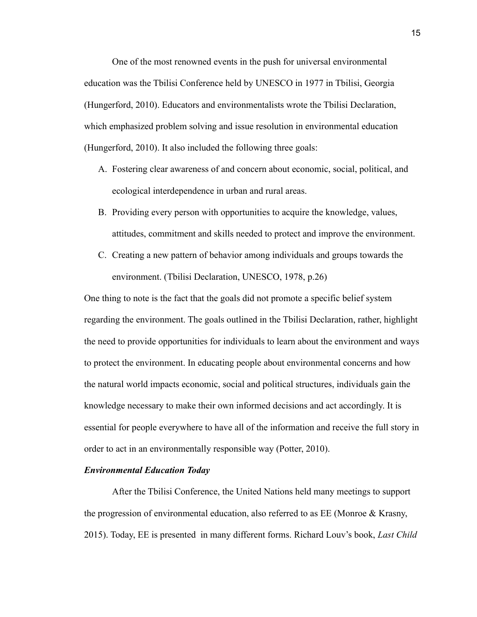One of the most renowned events in the push for universal environmental education was the Tbilisi Conference held by UNESCO in 1977 in Tbilisi, Georgia (Hungerford, 2010). Educators and environmentalists wrote the Tbilisi Declaration, which emphasized problem solving and issue resolution in environmental education (Hungerford, 2010). It also included the following three goals:

- A. Fostering clear awareness of and concern about economic, social, political, and ecological interdependence in urban and rural areas.
- B. Providing every person with opportunities to acquire the knowledge, values, attitudes, commitment and skills needed to protect and improve the environment.
- C. Creating a new pattern of behavior among individuals and groups towards the environment. (Tbilisi Declaration, UNESCO, 1978, p.26)

One thing to note is the fact that the goals did not promote a specific belief system regarding the environment. The goals outlined in the Tbilisi Declaration, rather, highlight the need to provide opportunities for individuals to learn about the environment and ways to protect the environment. In educating people about environmental concerns and how the natural world impacts economic, social and political structures, individuals gain the knowledge necessary to make their own informed decisions and act accordingly. It is essential for people everywhere to have all of the information and receive the full story in order to act in an environmentally responsible way (Potter, 2010).

#### *Environmental Education Today*

After the Tbilisi Conference, the United Nations held many meetings to support the progression of environmental education, also referred to as EE (Monroe & Krasny, 2015). Today, EE is presented in many different forms. Richard Louv's book, *Last Child*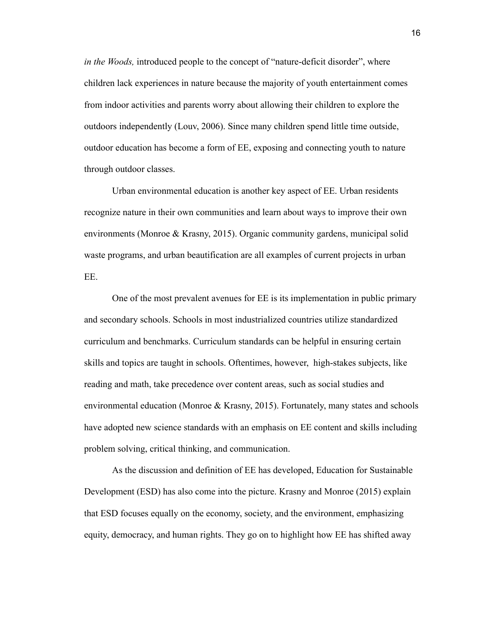*in the Woods,* introduced people to the concept of "nature-deficit disorder", where children lack experiences in nature because the majority of youth entertainment comes from indoor activities and parents worry about allowing their children to explore the outdoors independently (Louv, 2006). Since many children spend little time outside, outdoor education has become a form of EE, exposing and connecting youth to nature through outdoor classes.

Urban environmental education is another key aspect of EE. Urban residents recognize nature in their own communities and learn about ways to improve their own environments (Monroe & Krasny, 2015). Organic community gardens, municipal solid waste programs, and urban beautification are all examples of current projects in urban EE.

One of the most prevalent avenues for EE is its implementation in public primary and secondary schools. Schools in most industrialized countries utilize standardized curriculum and benchmarks. Curriculum standards can be helpful in ensuring certain skills and topics are taught in schools. Oftentimes, however, high-stakes subjects, like reading and math, take precedence over content areas, such as social studies and environmental education (Monroe & Krasny, 2015). Fortunately, many states and schools have adopted new science standards with an emphasis on EE content and skills including problem solving, critical thinking, and communication.

As the discussion and definition of EE has developed, Education for Sustainable Development (ESD) has also come into the picture. Krasny and Monroe (2015) explain that ESD focuses equally on the economy, society, and the environment, emphasizing equity, democracy, and human rights. They go on to highlight how EE has shifted away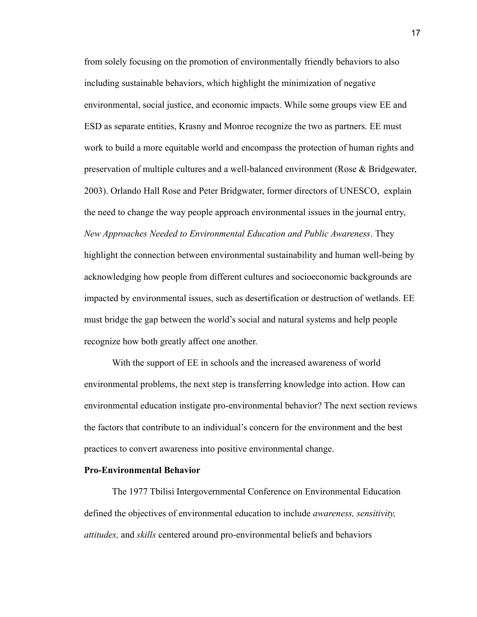from solely focusing on the promotion of environmentally friendly behaviors to also including sustainable behaviors, which highlight the minimization of negative environmental, social justice, and economic impacts. While some groups view EE and ESD as separate entities, Krasny and Monroe recognize the two as partners. EE must work to build a more equitable world and encompass the protection of human rights and preservation of multiple cultures and a well-balanced environment (Rose & Bridgewater, 2003). Orlando Hall Rose and Peter Bridgwater, former directors of UNESCO, explain the need to change the way people approach environmental issues in the journal entry, *New Approaches Needed to Environmental Education and Public Awareness*. They highlight the connection between environmental sustainability and human well-being by acknowledging how people from different cultures and socioeconomic backgrounds are impacted by environmental issues, such as desertification or destruction of wetlands. EE must bridge the gap between the world's social and natural systems and help people recognize how both greatly affect one another.

With the support of EE in schools and the increased awareness of world environmental problems, the next step is transferring knowledge into action. How can environmental education instigate pro-environmental behavior? The next section reviews the factors that contribute to an individual's concern for the environment and the best practices to convert awareness into positive environmental change.

#### **Pro-Environmental Behavior**

The 1977 Tbilisi Intergovernmental Conference on Environmental Education defined the objectives of environmental education to include *awareness, sensitivity, attitudes,* and *skills* centered around pro-environmental beliefs and behaviors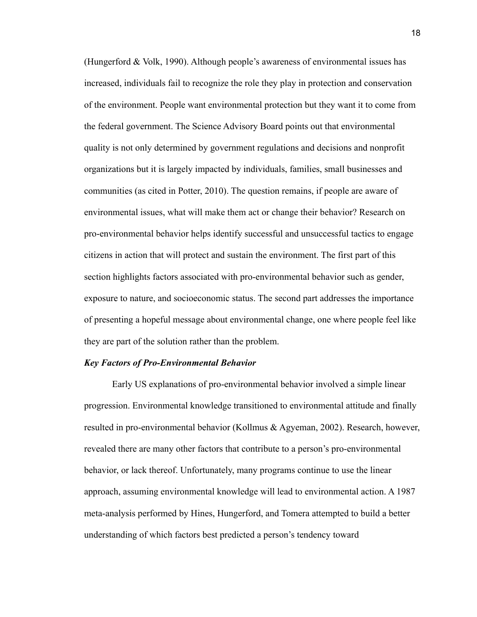(Hungerford & Volk, 1990). Although people's awareness of environmental issues has increased, individuals fail to recognize the role they play in protection and conservation of the environment. People want environmental protection but they want it to come from the federal government. The Science Advisory Board points out that environmental quality is not only determined by government regulations and decisions and nonprofit organizations but it is largely impacted by individuals, families, small businesses and communities (as cited in Potter, 2010). The question remains, if people are aware of environmental issues, what will make them act or change their behavior? Research on pro-environmental behavior helps identify successful and unsuccessful tactics to engage citizens in action that will protect and sustain the environment. The first part of this section highlights factors associated with pro-environmental behavior such as gender, exposure to nature, and socioeconomic status. The second part addresses the importance of presenting a hopeful message about environmental change, one where people feel like they are part of the solution rather than the problem.

#### *Key Factors of Pro-Environmental Behavior*

Early US explanations of pro-environmental behavior involved a simple linear progression. Environmental knowledge transitioned to environmental attitude and finally resulted in pro-environmental behavior (Kollmus & Agyeman, 2002). Research, however, revealed there are many other factors that contribute to a person's pro-environmental behavior, or lack thereof. Unfortunately, many programs continue to use the linear approach, assuming environmental knowledge will lead to environmental action. A 1987 meta-analysis performed by Hines, Hungerford, and Tomera attempted to build a better understanding of which factors best predicted a person's tendency toward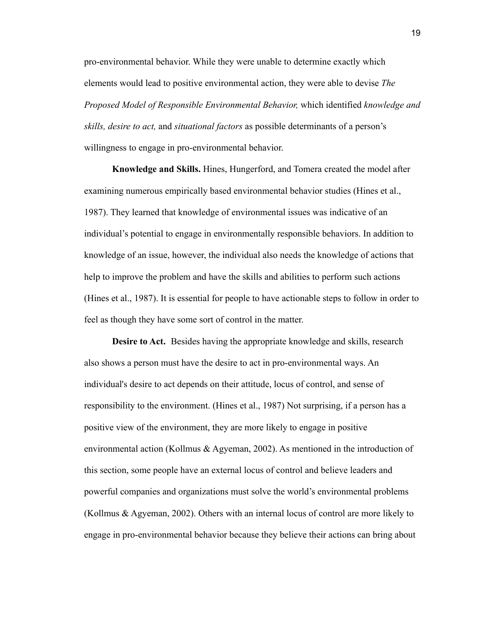pro-environmental behavior. While they were unable to determine exactly which elements would lead to positive environmental action, they were able to devise *The Proposed Model of Responsible Environmental Behavior,* which identified *knowledge and skills, desire to act,* and *situational factors* as possible determinants of a person's willingness to engage in pro-environmental behavior.

**Knowledge and Skills.** Hines, Hungerford, and Tomera created the model after examining numerous empirically based environmental behavior studies (Hines et al., 1987). They learned that knowledge of environmental issues was indicative of an individual's potential to engage in environmentally responsible behaviors. In addition to knowledge of an issue, however, the individual also needs the knowledge of actions that help to improve the problem and have the skills and abilities to perform such actions (Hines et al., 1987). It is essential for people to have actionable steps to follow in order to feel as though they have some sort of control in the matter.

**Desire to Act.** Besides having the appropriate knowledge and skills, research also shows a person must have the desire to act in pro-environmental ways. An individual's desire to act depends on their attitude, locus of control, and sense of responsibility to the environment. (Hines et al., 1987) Not surprising, if a person has a positive view of the environment, they are more likely to engage in positive environmental action (Kollmus & Agyeman, 2002). As mentioned in the introduction of this section, some people have an external locus of control and believe leaders and powerful companies and organizations must solve the world's environmental problems (Kollmus & Agyeman, 2002). Others with an internal locus of control are more likely to engage in pro-environmental behavior because they believe their actions can bring about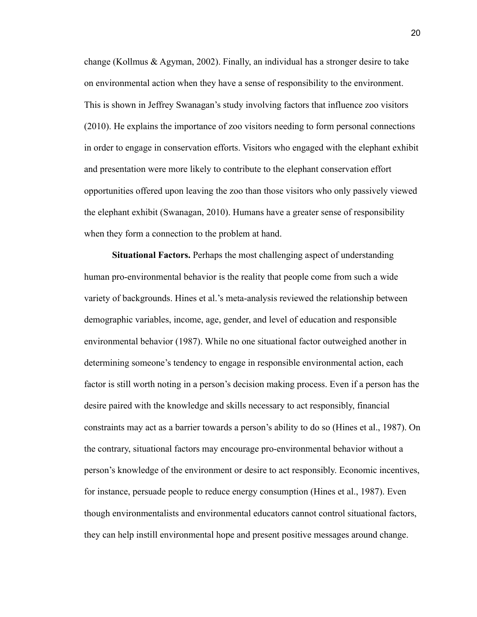change (Kollmus & Agyman, 2002). Finally, an individual has a stronger desire to take on environmental action when they have a sense of responsibility to the environment. This is shown in Jeffrey Swanagan's study involving factors that influence zoo visitors (2010). He explains the importance of zoo visitors needing to form personal connections in order to engage in conservation efforts. Visitors who engaged with the elephant exhibit and presentation were more likely to contribute to the elephant conservation effort opportunities offered upon leaving the zoo than those visitors who only passively viewed the elephant exhibit (Swanagan, 2010). Humans have a greater sense of responsibility when they form a connection to the problem at hand.

**Situational Factors.** Perhaps the most challenging aspect of understanding human pro-environmental behavior is the reality that people come from such a wide variety of backgrounds. Hines et al.'s meta-analysis reviewed the relationship between demographic variables, income, age, gender, and level of education and responsible environmental behavior (1987). While no one situational factor outweighed another in determining someone's tendency to engage in responsible environmental action, each factor is still worth noting in a person's decision making process. Even if a person has the desire paired with the knowledge and skills necessary to act responsibly, financial constraints may act as a barrier towards a person's ability to do so (Hines et al., 1987). On the contrary, situational factors may encourage pro-environmental behavior without a person's knowledge of the environment or desire to act responsibly. Economic incentives, for instance, persuade people to reduce energy consumption (Hines et al., 1987). Even though environmentalists and environmental educators cannot control situational factors, they can help instill environmental hope and present positive messages around change.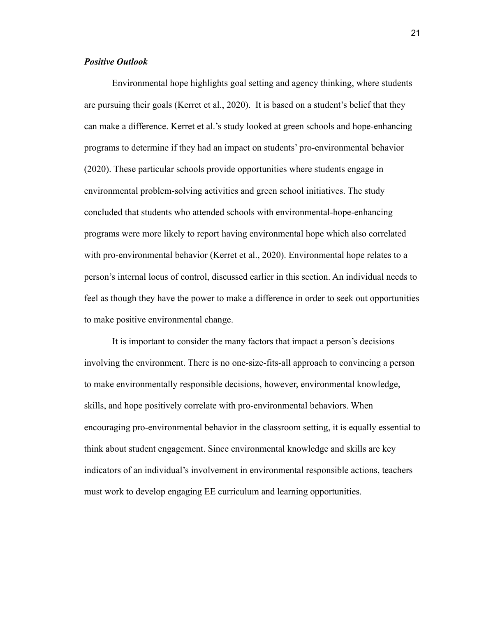## *Positive Outlook*

Environmental hope highlights goal setting and agency thinking, where students are pursuing their goals (Kerret et al., 2020). It is based on a student's belief that they can make a difference. Kerret et al.'s study looked at green schools and hope-enhancing programs to determine if they had an impact on students' pro-environmental behavior (2020). These particular schools provide opportunities where students engage in environmental problem-solving activities and green school initiatives. The study concluded that students who attended schools with environmental-hope-enhancing programs were more likely to report having environmental hope which also correlated with pro-environmental behavior (Kerret et al., 2020). Environmental hope relates to a person's internal locus of control, discussed earlier in this section. An individual needs to feel as though they have the power to make a difference in order to seek out opportunities to make positive environmental change.

It is important to consider the many factors that impact a person's decisions involving the environment. There is no one-size-fits-all approach to convincing a person to make environmentally responsible decisions, however, environmental knowledge, skills, and hope positively correlate with pro-environmental behaviors. When encouraging pro-environmental behavior in the classroom setting, it is equally essential to think about student engagement. Since environmental knowledge and skills are key indicators of an individual's involvement in environmental responsible actions, teachers must work to develop engaging EE curriculum and learning opportunities.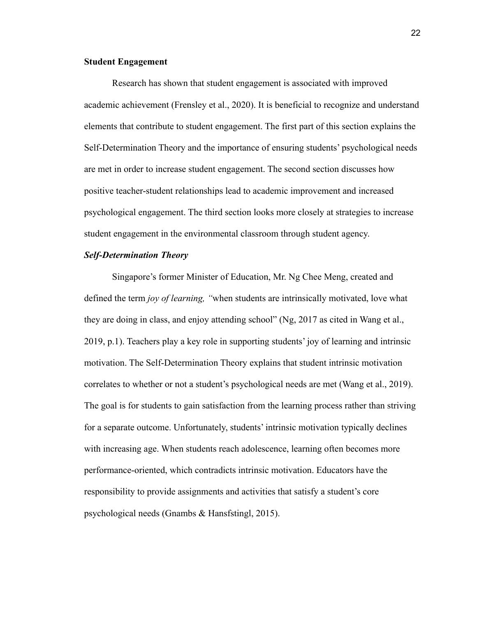## **Student Engagement**

Research has shown that student engagement is associated with improved academic achievement (Frensley et al., 2020). It is beneficial to recognize and understand elements that contribute to student engagement. The first part of this section explains the Self-Determination Theory and the importance of ensuring students' psychological needs are met in order to increase student engagement. The second section discusses how positive teacher-student relationships lead to academic improvement and increased psychological engagement. The third section looks more closely at strategies to increase student engagement in the environmental classroom through student agency.

## *Self-Determination Theory*

Singapore's former Minister of Education, Mr. Ng Chee Meng, created and defined the term *joy of learning, "*when students are intrinsically motivated, love what they are doing in class, and enjoy attending school" (Ng, 2017 as cited in Wang et al., 2019, p.1). Teachers play a key role in supporting students' joy of learning and intrinsic motivation. The Self-Determination Theory explains that student intrinsic motivation correlates to whether or not a student's psychological needs are met (Wang et al., 2019). The goal is for students to gain satisfaction from the learning process rather than striving for a separate outcome. Unfortunately, students' intrinsic motivation typically declines with increasing age. When students reach adolescence, learning often becomes more performance-oriented, which contradicts intrinsic motivation. Educators have the responsibility to provide assignments and activities that satisfy a student's core psychological needs (Gnambs & Hansfstingl, 2015).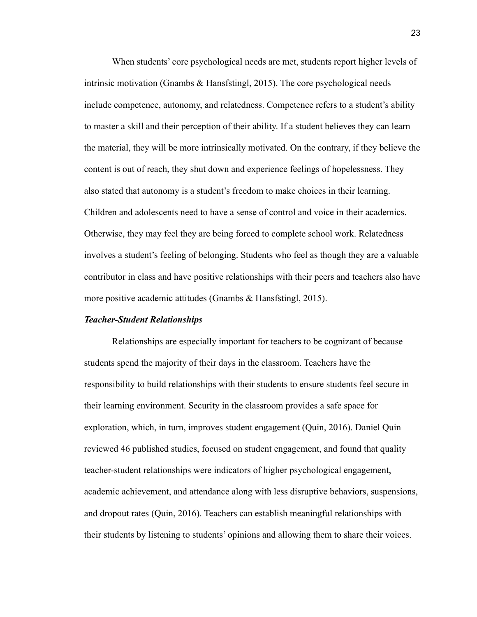When students' core psychological needs are met, students report higher levels of intrinsic motivation (Gnambs & Hansfstingl, 2015). The core psychological needs include competence, autonomy, and relatedness. Competence refers to a student's ability to master a skill and their perception of their ability. If a student believes they can learn the material, they will be more intrinsically motivated. On the contrary, if they believe the content is out of reach, they shut down and experience feelings of hopelessness. They also stated that autonomy is a student's freedom to make choices in their learning. Children and adolescents need to have a sense of control and voice in their academics. Otherwise, they may feel they are being forced to complete school work. Relatedness involves a student's feeling of belonging. Students who feel as though they are a valuable contributor in class and have positive relationships with their peers and teachers also have more positive academic attitudes (Gnambs & Hansfstingl, 2015).

#### *Teacher-Student Relationships*

Relationships are especially important for teachers to be cognizant of because students spend the majority of their days in the classroom. Teachers have the responsibility to build relationships with their students to ensure students feel secure in their learning environment. Security in the classroom provides a safe space for exploration, which, in turn, improves student engagement (Quin, 2016). Daniel Quin reviewed 46 published studies, focused on student engagement, and found that quality teacher-student relationships were indicators of higher psychological engagement, academic achievement, and attendance along with less disruptive behaviors, suspensions, and dropout rates (Quin, 2016). Teachers can establish meaningful relationships with their students by listening to students' opinions and allowing them to share their voices.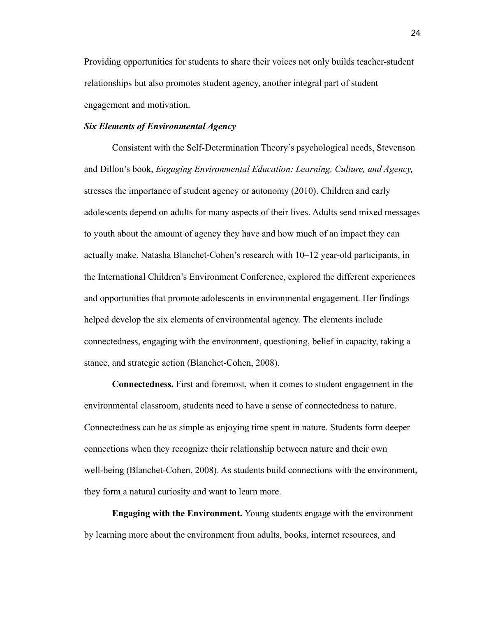Providing opportunities for students to share their voices not only builds teacher-student relationships but also promotes student agency, another integral part of student engagement and motivation.

## *Six Elements of Environmental Agency*

Consistent with the Self-Determination Theory's psychological needs, Stevenson and Dillon's book, *Engaging Environmental Education: Learning, Culture, and Agency,* stresses the importance of student agency or autonomy (2010). Children and early adolescents depend on adults for many aspects of their lives. Adults send mixed messages to youth about the amount of agency they have and how much of an impact they can actually make. Natasha Blanchet-Cohen's research with 10–12 year-old participants, in the International Children's Environment Conference, explored the different experiences and opportunities that promote adolescents in environmental engagement. Her findings helped develop the six elements of environmental agency. The elements include connectedness, engaging with the environment, questioning, belief in capacity, taking a stance, and strategic action (Blanchet-Cohen, 2008).

**Connectedness.** First and foremost, when it comes to student engagement in the environmental classroom, students need to have a sense of connectedness to nature. Connectedness can be as simple as enjoying time spent in nature. Students form deeper connections when they recognize their relationship between nature and their own well-being (Blanchet-Cohen, 2008). As students build connections with the environment, they form a natural curiosity and want to learn more.

**Engaging with the Environment.** Young students engage with the environment by learning more about the environment from adults, books, internet resources, and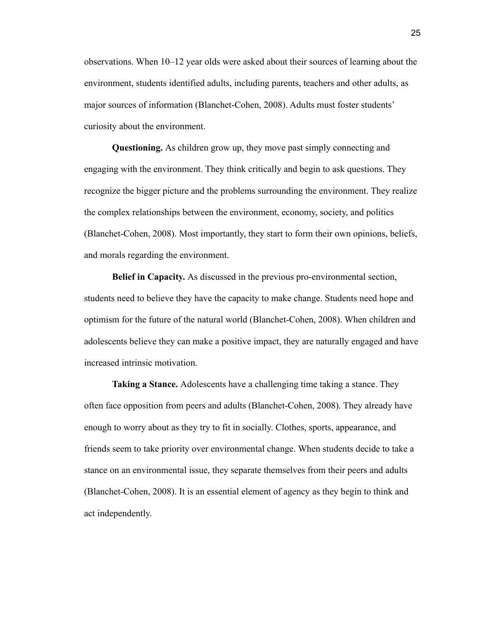observations. When 10–12 year olds were asked about their sources of learning about the environment, students identified adults, including parents, teachers and other adults, as major sources of information (Blanchet-Cohen, 2008). Adults must foster students' curiosity about the environment.

**Questioning.** As children grow up, they move past simply connecting and engaging with the environment. They think critically and begin to ask questions. They recognize the bigger picture and the problems surrounding the environment. They realize the complex relationships between the environment, economy, society, and politics (Blanchet-Cohen, 2008). Most importantly, they start to form their own opinions, beliefs, and morals regarding the environment.

**Belief in Capacity.** As discussed in the previous pro-environmental section, students need to believe they have the capacity to make change. Students need hope and optimism for the future of the natural world (Blanchet-Cohen, 2008). When children and adolescents believe they can make a positive impact, they are naturally engaged and have increased intrinsic motivation.

**Taking a Stance.** Adolescents have a challenging time taking a stance. They often face opposition from peers and adults (Blanchet-Cohen, 2008). They already have enough to worry about as they try to fit in socially. Clothes, sports, appearance, and friends seem to take priority over environmental change. When students decide to take a stance on an environmental issue, they separate themselves from their peers and adults (Blanchet-Cohen, 2008). It is an essential element of agency as they begin to think and act independently.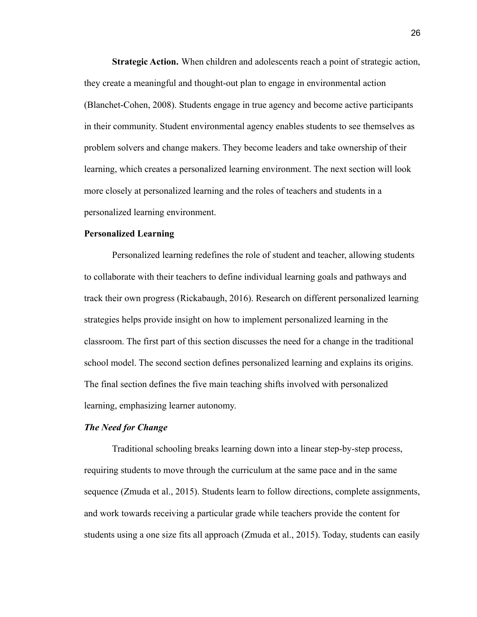**Strategic Action.** When children and adolescents reach a point of strategic action, they create a meaningful and thought-out plan to engage in environmental action (Blanchet-Cohen, 2008). Students engage in true agency and become active participants in their community. Student environmental agency enables students to see themselves as problem solvers and change makers. They become leaders and take ownership of their learning, which creates a personalized learning environment. The next section will look more closely at personalized learning and the roles of teachers and students in a personalized learning environment.

#### **Personalized Learning**

Personalized learning redefines the role of student and teacher, allowing students to collaborate with their teachers to define individual learning goals and pathways and track their own progress (Rickabaugh, 2016). Research on different personalized learning strategies helps provide insight on how to implement personalized learning in the classroom. The first part of this section discusses the need for a change in the traditional school model. The second section defines personalized learning and explains its origins. The final section defines the five main teaching shifts involved with personalized learning, emphasizing learner autonomy.

#### *The Need for Change*

Traditional schooling breaks learning down into a linear step-by-step process, requiring students to move through the curriculum at the same pace and in the same sequence (Zmuda et al., 2015). Students learn to follow directions, complete assignments, and work towards receiving a particular grade while teachers provide the content for students using a one size fits all approach (Zmuda et al., 2015). Today, students can easily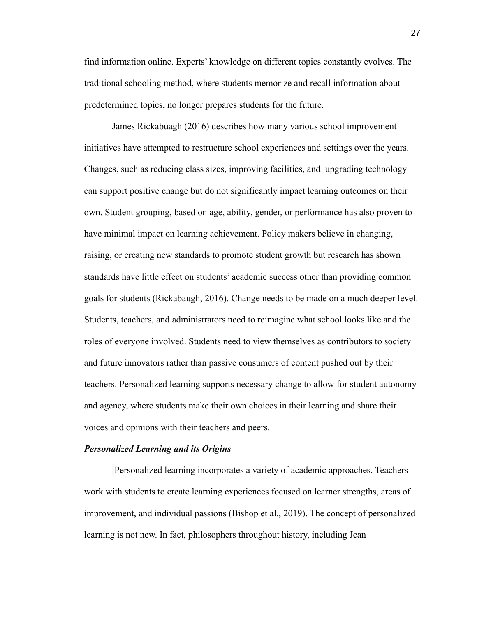find information online. Experts' knowledge on different topics constantly evolves. The traditional schooling method, where students memorize and recall information about predetermined topics, no longer prepares students for the future.

James Rickabuagh (2016) describes how many various school improvement initiatives have attempted to restructure school experiences and settings over the years. Changes, such as reducing class sizes, improving facilities, and upgrading technology can support positive change but do not significantly impact learning outcomes on their own. Student grouping, based on age, ability, gender, or performance has also proven to have minimal impact on learning achievement. Policy makers believe in changing, raising, or creating new standards to promote student growth but research has shown standards have little effect on students' academic success other than providing common goals for students (Rickabaugh, 2016). Change needs to be made on a much deeper level. Students, teachers, and administrators need to reimagine what school looks like and the roles of everyone involved. Students need to view themselves as contributors to society and future innovators rather than passive consumers of content pushed out by their teachers. Personalized learning supports necessary change to allow for student autonomy and agency, where students make their own choices in their learning and share their voices and opinions with their teachers and peers.

#### *Personalized Learning and its Origins*

Personalized learning incorporates a variety of academic approaches. Teachers work with students to create learning experiences focused on learner strengths, areas of improvement, and individual passions (Bishop et al., 2019). The concept of personalized learning is not new. In fact, philosophers throughout history, including Jean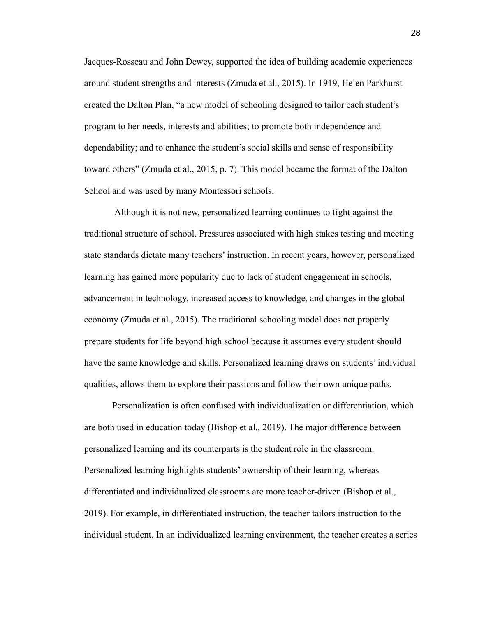Jacques-Rosseau and John Dewey, supported the idea of building academic experiences around student strengths and interests (Zmuda et al., 2015). In 1919, Helen Parkhurst created the Dalton Plan, "a new model of schooling designed to tailor each student's program to her needs, interests and abilities; to promote both independence and dependability; and to enhance the student's social skills and sense of responsibility toward others" (Zmuda et al., 2015, p. 7). This model became the format of the Dalton School and was used by many Montessori schools.

Although it is not new, personalized learning continues to fight against the traditional structure of school. Pressures associated with high stakes testing and meeting state standards dictate many teachers' instruction. In recent years, however, personalized learning has gained more popularity due to lack of student engagement in schools, advancement in technology, increased access to knowledge, and changes in the global economy (Zmuda et al., 2015). The traditional schooling model does not properly prepare students for life beyond high school because it assumes every student should have the same knowledge and skills. Personalized learning draws on students' individual qualities, allows them to explore their passions and follow their own unique paths.

Personalization is often confused with individualization or differentiation, which are both used in education today (Bishop et al., 2019). The major difference between personalized learning and its counterparts is the student role in the classroom. Personalized learning highlights students' ownership of their learning, whereas differentiated and individualized classrooms are more teacher-driven (Bishop et al., 2019). For example, in differentiated instruction, the teacher tailors instruction to the individual student. In an individualized learning environment, the teacher creates a series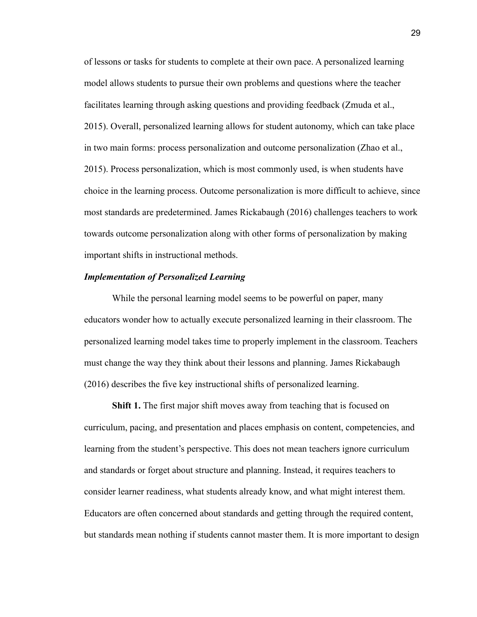of lessons or tasks for students to complete at their own pace. A personalized learning model allows students to pursue their own problems and questions where the teacher facilitates learning through asking questions and providing feedback (Zmuda et al., 2015). Overall, personalized learning allows for student autonomy, which can take place in two main forms: process personalization and outcome personalization (Zhao et al., 2015). Process personalization, which is most commonly used, is when students have choice in the learning process. Outcome personalization is more difficult to achieve, since most standards are predetermined. James Rickabaugh (2016) challenges teachers to work towards outcome personalization along with other forms of personalization by making important shifts in instructional methods.

## *Implementation of Personalized Learning*

While the personal learning model seems to be powerful on paper, many educators wonder how to actually execute personalized learning in their classroom. The personalized learning model takes time to properly implement in the classroom. Teachers must change the way they think about their lessons and planning. James Rickabaugh (2016) describes the five key instructional shifts of personalized learning.

**Shift 1.** The first major shift moves away from teaching that is focused on curriculum, pacing, and presentation and places emphasis on content, competencies, and learning from the student's perspective. This does not mean teachers ignore curriculum and standards or forget about structure and planning. Instead, it requires teachers to consider learner readiness, what students already know, and what might interest them. Educators are often concerned about standards and getting through the required content, but standards mean nothing if students cannot master them. It is more important to design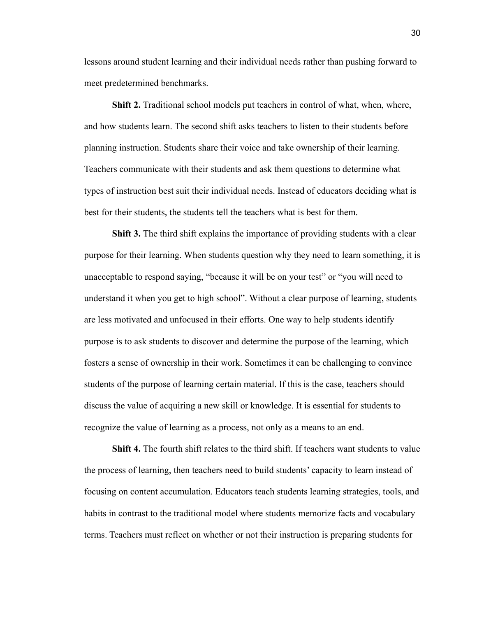lessons around student learning and their individual needs rather than pushing forward to meet predetermined benchmarks.

**Shift 2.** Traditional school models put teachers in control of what, when, where, and how students learn. The second shift asks teachers to listen to their students before planning instruction. Students share their voice and take ownership of their learning. Teachers communicate with their students and ask them questions to determine what types of instruction best suit their individual needs. Instead of educators deciding what is best for their students, the students tell the teachers what is best for them.

**Shift 3.** The third shift explains the importance of providing students with a clear purpose for their learning. When students question why they need to learn something, it is unacceptable to respond saying, "because it will be on your test" or "you will need to understand it when you get to high school". Without a clear purpose of learning, students are less motivated and unfocused in their efforts. One way to help students identify purpose is to ask students to discover and determine the purpose of the learning, which fosters a sense of ownership in their work. Sometimes it can be challenging to convince students of the purpose of learning certain material. If this is the case, teachers should discuss the value of acquiring a new skill or knowledge. It is essential for students to recognize the value of learning as a process, not only as a means to an end.

**Shift 4.** The fourth shift relates to the third shift. If teachers want students to value the process of learning, then teachers need to build students' capacity to learn instead of focusing on content accumulation. Educators teach students learning strategies, tools, and habits in contrast to the traditional model where students memorize facts and vocabulary terms. Teachers must reflect on whether or not their instruction is preparing students for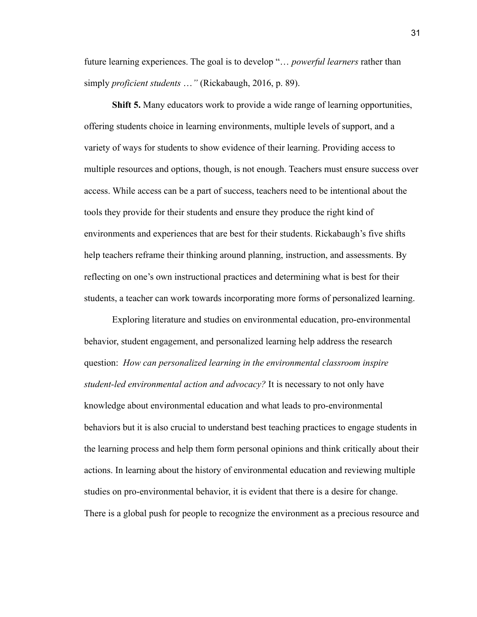future learning experiences. The goal is to develop "… *powerful learners* rather than simply *proficient students* …*"* (Rickabaugh, 2016, p. 89).

**Shift 5.** Many educators work to provide a wide range of learning opportunities, offering students choice in learning environments, multiple levels of support, and a variety of ways for students to show evidence of their learning. Providing access to multiple resources and options, though, is not enough. Teachers must ensure success over access. While access can be a part of success, teachers need to be intentional about the tools they provide for their students and ensure they produce the right kind of environments and experiences that are best for their students. Rickabaugh's five shifts help teachers reframe their thinking around planning, instruction, and assessments. By reflecting on one's own instructional practices and determining what is best for their students, a teacher can work towards incorporating more forms of personalized learning.

Exploring literature and studies on environmental education, pro-environmental behavior, student engagement, and personalized learning help address the research question: *How can personalized learning in the environmental classroom inspire student-led environmental action and advocacy?* It is necessary to not only have knowledge about environmental education and what leads to pro-environmental behaviors but it is also crucial to understand best teaching practices to engage students in the learning process and help them form personal opinions and think critically about their actions. In learning about the history of environmental education and reviewing multiple studies on pro-environmental behavior, it is evident that there is a desire for change. There is a global push for people to recognize the environment as a precious resource and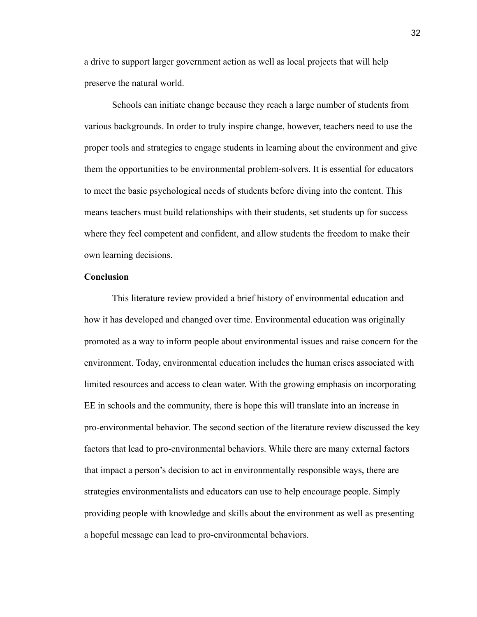a drive to support larger government action as well as local projects that will help preserve the natural world.

Schools can initiate change because they reach a large number of students from various backgrounds. In order to truly inspire change, however, teachers need to use the proper tools and strategies to engage students in learning about the environment and give them the opportunities to be environmental problem-solvers. It is essential for educators to meet the basic psychological needs of students before diving into the content. This means teachers must build relationships with their students, set students up for success where they feel competent and confident, and allow students the freedom to make their own learning decisions.

## **Conclusion**

This literature review provided a brief history of environmental education and how it has developed and changed over time. Environmental education was originally promoted as a way to inform people about environmental issues and raise concern for the environment. Today, environmental education includes the human crises associated with limited resources and access to clean water. With the growing emphasis on incorporating EE in schools and the community, there is hope this will translate into an increase in pro-environmental behavior. The second section of the literature review discussed the key factors that lead to pro-environmental behaviors. While there are many external factors that impact a person's decision to act in environmentally responsible ways, there are strategies environmentalists and educators can use to help encourage people. Simply providing people with knowledge and skills about the environment as well as presenting a hopeful message can lead to pro-environmental behaviors.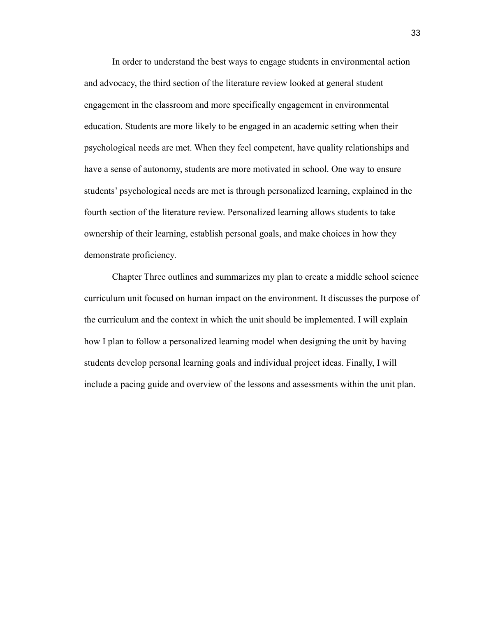In order to understand the best ways to engage students in environmental action and advocacy, the third section of the literature review looked at general student engagement in the classroom and more specifically engagement in environmental education. Students are more likely to be engaged in an academic setting when their psychological needs are met. When they feel competent, have quality relationships and have a sense of autonomy, students are more motivated in school. One way to ensure students' psychological needs are met is through personalized learning, explained in the fourth section of the literature review. Personalized learning allows students to take ownership of their learning, establish personal goals, and make choices in how they demonstrate proficiency.

Chapter Three outlines and summarizes my plan to create a middle school science curriculum unit focused on human impact on the environment. It discusses the purpose of the curriculum and the context in which the unit should be implemented. I will explain how I plan to follow a personalized learning model when designing the unit by having students develop personal learning goals and individual project ideas. Finally, I will include a pacing guide and overview of the lessons and assessments within the unit plan.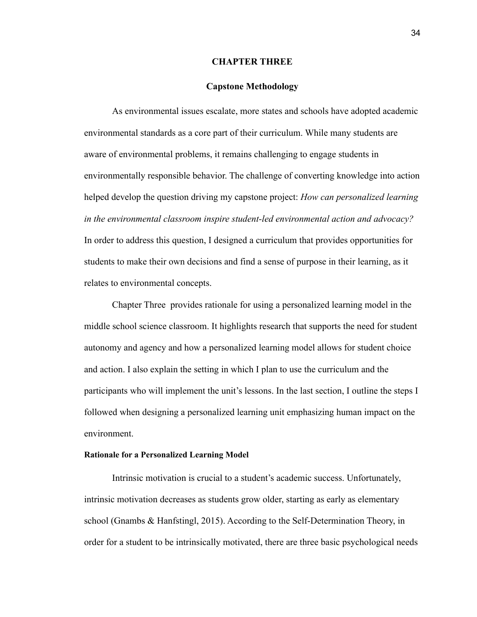#### **CHAPTER THREE**

#### **Capstone Methodology**

As environmental issues escalate, more states and schools have adopted academic environmental standards as a core part of their curriculum. While many students are aware of environmental problems, it remains challenging to engage students in environmentally responsible behavior. The challenge of converting knowledge into action helped develop the question driving my capstone project: *How can personalized learning in the environmental classroom inspire student-led environmental action and advocacy?* In order to address this question, I designed a curriculum that provides opportunities for students to make their own decisions and find a sense of purpose in their learning, as it relates to environmental concepts.

Chapter Three provides rationale for using a personalized learning model in the middle school science classroom. It highlights research that supports the need for student autonomy and agency and how a personalized learning model allows for student choice and action. I also explain the setting in which I plan to use the curriculum and the participants who will implement the unit's lessons. In the last section, I outline the steps I followed when designing a personalized learning unit emphasizing human impact on the environment.

#### **Rationale for a Personalized Learning Model**

Intrinsic motivation is crucial to a student's academic success. Unfortunately, intrinsic motivation decreases as students grow older, starting as early as elementary school (Gnambs & Hanfstingl, 2015). According to the Self-Determination Theory, in order for a student to be intrinsically motivated, there are three basic psychological needs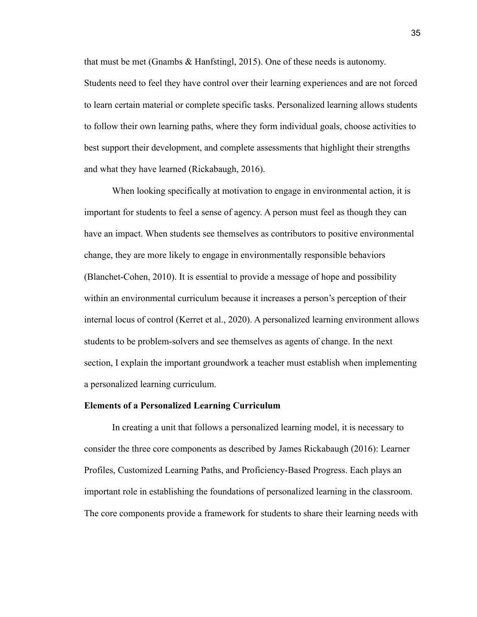that must be met (Gnambs & Hanfstingl, 2015). One of these needs is autonomy. Students need to feel they have control over their learning experiences and are not forced to learn certain material or complete specific tasks. Personalized learning allows students to follow their own learning paths, where they form individual goals, choose activities to best support their development, and complete assessments that highlight their strengths and what they have learned (Rickabaugh, 2016).

When looking specifically at motivation to engage in environmental action, it is important for students to feel a sense of agency. A person must feel as though they can have an impact. When students see themselves as contributors to positive environmental change, they are more likely to engage in environmentally responsible behaviors (Blanchet-Cohen, 2010). It is essential to provide a message of hope and possibility within an environmental curriculum because it increases a person's perception of their internal locus of control (Kerret et al., 2020). A personalized learning environment allows students to be problem-solvers and see themselves as agents of change. In the next section, I explain the important groundwork a teacher must establish when implementing a personalized learning curriculum.

### **Elements of a Personalized Learning Curriculum**

In creating a unit that follows a personalized learning model, it is necessary to consider the three core components as described by James Rickabaugh (2016): Learner Profiles, Customized Learning Paths, and Proficiency-Based Progress. Each plays an important role in establishing the foundations of personalized learning in the classroom. The core components provide a framework for students to share their learning needs with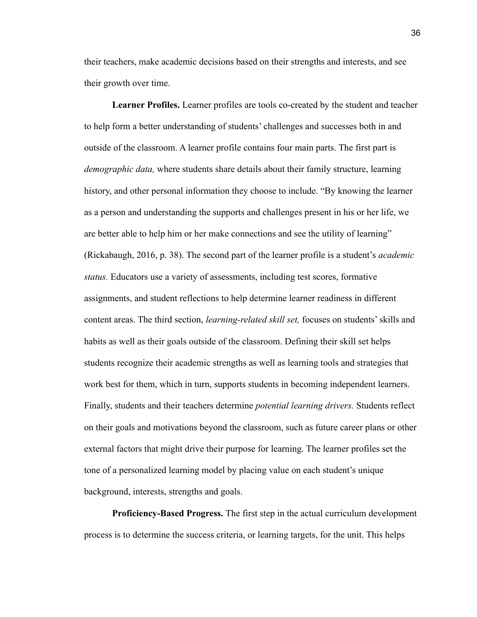their teachers, make academic decisions based on their strengths and interests, and see their growth over time.

**Learner Profiles.** Learner profiles are tools co-created by the student and teacher to help form a better understanding of students' challenges and successes both in and outside of the classroom. A learner profile contains four main parts. The first part is *demographic data,* where students share details about their family structure, learning history, and other personal information they choose to include. "By knowing the learner as a person and understanding the supports and challenges present in his or her life, we are better able to help him or her make connections and see the utility of learning" (Rickabaugh, 2016, p. 38). The second part of the learner profile is a student's *academic status.* Educators use a variety of assessments, including test scores, formative assignments, and student reflections to help determine learner readiness in different content areas. The third section, *learning-related skill set,* focuses on students' skills and habits as well as their goals outside of the classroom. Defining their skill set helps students recognize their academic strengths as well as learning tools and strategies that work best for them, which in turn, supports students in becoming independent learners. Finally, students and their teachers determine *potential learning drivers.* Students reflect on their goals and motivations beyond the classroom, such as future career plans or other external factors that might drive their purpose for learning. The learner profiles set the tone of a personalized learning model by placing value on each student's unique background, interests, strengths and goals.

**Proficiency-Based Progress.** The first step in the actual curriculum development process is to determine the success criteria, or learning targets, for the unit. This helps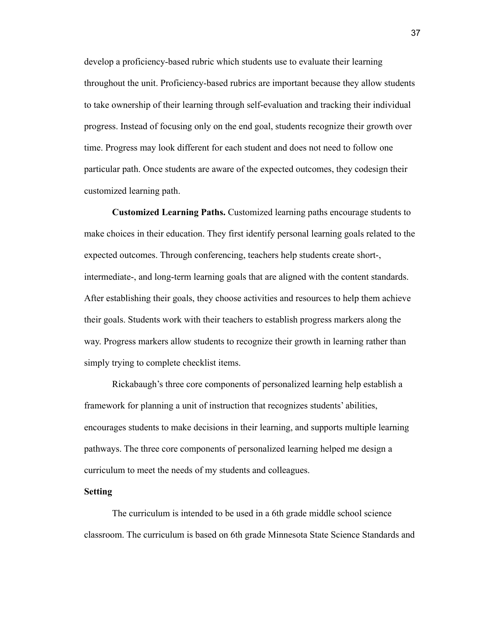develop a proficiency-based rubric which students use to evaluate their learning throughout the unit. Proficiency-based rubrics are important because they allow students to take ownership of their learning through self-evaluation and tracking their individual progress. Instead of focusing only on the end goal, students recognize their growth over time. Progress may look different for each student and does not need to follow one particular path. Once students are aware of the expected outcomes, they codesign their customized learning path.

**Customized Learning Paths.** Customized learning paths encourage students to make choices in their education. They first identify personal learning goals related to the expected outcomes. Through conferencing, teachers help students create short-, intermediate-, and long-term learning goals that are aligned with the content standards. After establishing their goals, they choose activities and resources to help them achieve their goals. Students work with their teachers to establish progress markers along the way. Progress markers allow students to recognize their growth in learning rather than simply trying to complete checklist items.

Rickabaugh's three core components of personalized learning help establish a framework for planning a unit of instruction that recognizes students' abilities, encourages students to make decisions in their learning, and supports multiple learning pathways. The three core components of personalized learning helped me design a curriculum to meet the needs of my students and colleagues.

#### **Setting**

The curriculum is intended to be used in a 6th grade middle school science classroom. The curriculum is based on 6th grade Minnesota State Science Standards and

37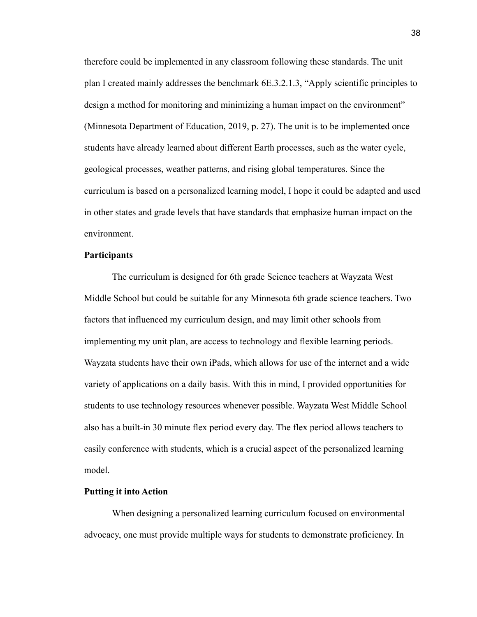therefore could be implemented in any classroom following these standards. The unit plan I created mainly addresses the benchmark 6E.3.2.1.3, "Apply scientific principles to design a method for monitoring and minimizing a human impact on the environment" (Minnesota Department of Education, 2019, p. 27). The unit is to be implemented once students have already learned about different Earth processes, such as the water cycle, geological processes, weather patterns, and rising global temperatures. Since the curriculum is based on a personalized learning model, I hope it could be adapted and used in other states and grade levels that have standards that emphasize human impact on the environment.

## **Participants**

The curriculum is designed for 6th grade Science teachers at Wayzata West Middle School but could be suitable for any Minnesota 6th grade science teachers. Two factors that influenced my curriculum design, and may limit other schools from implementing my unit plan, are access to technology and flexible learning periods. Wayzata students have their own iPads, which allows for use of the internet and a wide variety of applications on a daily basis. With this in mind, I provided opportunities for students to use technology resources whenever possible. Wayzata West Middle School also has a built-in 30 minute flex period every day. The flex period allows teachers to easily conference with students, which is a crucial aspect of the personalized learning model.

#### **Putting it into Action**

When designing a personalized learning curriculum focused on environmental advocacy, one must provide multiple ways for students to demonstrate proficiency. In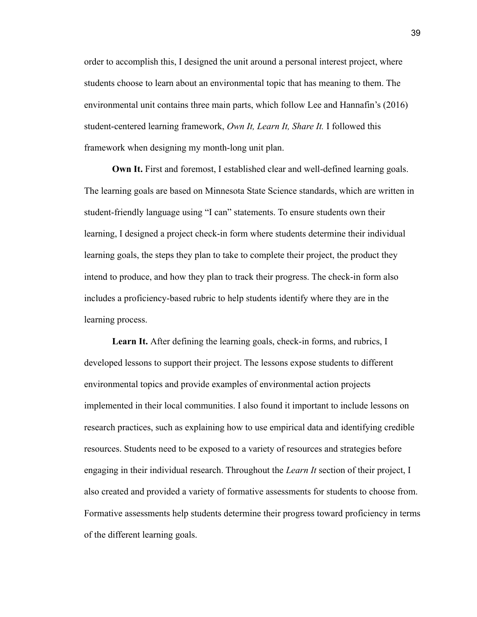order to accomplish this, I designed the unit around a personal interest project, where students choose to learn about an environmental topic that has meaning to them. The environmental unit contains three main parts, which follow Lee and Hannafin's (2016) student-centered learning framework, *Own It, Learn It, Share It.* I followed this framework when designing my month-long unit plan.

**Own It.** First and foremost, I established clear and well-defined learning goals. The learning goals are based on Minnesota State Science standards, which are written in student-friendly language using "I can" statements. To ensure students own their learning, I designed a project check-in form where students determine their individual learning goals, the steps they plan to take to complete their project, the product they intend to produce, and how they plan to track their progress. The check-in form also includes a proficiency-based rubric to help students identify where they are in the learning process.

**Learn It.** After defining the learning goals, check-in forms, and rubrics, I developed lessons to support their project. The lessons expose students to different environmental topics and provide examples of environmental action projects implemented in their local communities. I also found it important to include lessons on research practices, such as explaining how to use empirical data and identifying credible resources. Students need to be exposed to a variety of resources and strategies before engaging in their individual research. Throughout the *Learn It* section of their project, I also created and provided a variety of formative assessments for students to choose from. Formative assessments help students determine their progress toward proficiency in terms of the different learning goals.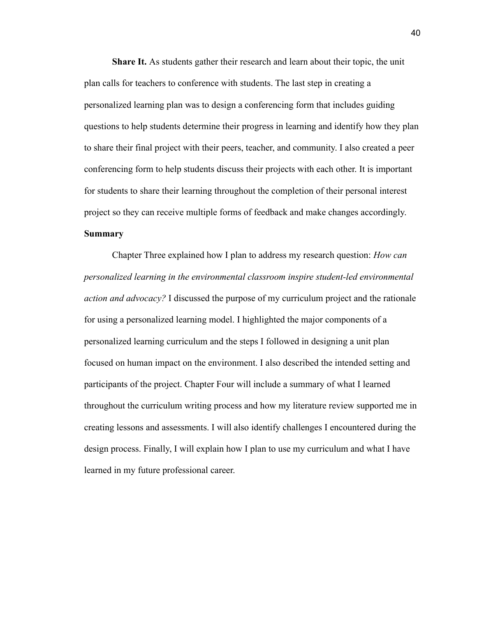**Share It.** As students gather their research and learn about their topic, the unit plan calls for teachers to conference with students. The last step in creating a personalized learning plan was to design a conferencing form that includes guiding questions to help students determine their progress in learning and identify how they plan to share their final project with their peers, teacher, and community. I also created a peer conferencing form to help students discuss their projects with each other. It is important for students to share their learning throughout the completion of their personal interest project so they can receive multiple forms of feedback and make changes accordingly. **Summary**

Chapter Three explained how I plan to address my research question: *How can personalized learning in the environmental classroom inspire student-led environmental action and advocacy?* I discussed the purpose of my curriculum project and the rationale for using a personalized learning model. I highlighted the major components of a personalized learning curriculum and the steps I followed in designing a unit plan focused on human impact on the environment. I also described the intended setting and participants of the project. Chapter Four will include a summary of what I learned throughout the curriculum writing process and how my literature review supported me in creating lessons and assessments. I will also identify challenges I encountered during the design process. Finally, I will explain how I plan to use my curriculum and what I have learned in my future professional career.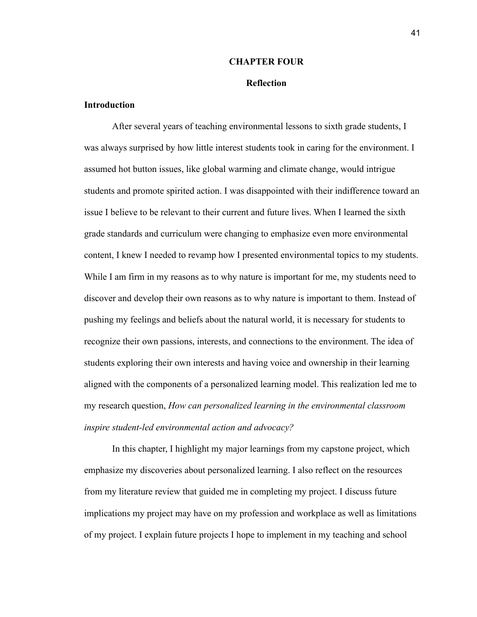### **CHAPTER FOUR**

#### **Reflection**

## **Introduction**

After several years of teaching environmental lessons to sixth grade students, I was always surprised by how little interest students took in caring for the environment. I assumed hot button issues, like global warming and climate change, would intrigue students and promote spirited action. I was disappointed with their indifference toward an issue I believe to be relevant to their current and future lives. When I learned the sixth grade standards and curriculum were changing to emphasize even more environmental content, I knew I needed to revamp how I presented environmental topics to my students. While I am firm in my reasons as to why nature is important for me, my students need to discover and develop their own reasons as to why nature is important to them. Instead of pushing my feelings and beliefs about the natural world, it is necessary for students to recognize their own passions, interests, and connections to the environment. The idea of students exploring their own interests and having voice and ownership in their learning aligned with the components of a personalized learning model. This realization led me to my research question, *How can personalized learning in the environmental classroom inspire student-led environmental action and advocacy?*

In this chapter, I highlight my major learnings from my capstone project, which emphasize my discoveries about personalized learning. I also reflect on the resources from my literature review that guided me in completing my project. I discuss future implications my project may have on my profession and workplace as well as limitations of my project. I explain future projects I hope to implement in my teaching and school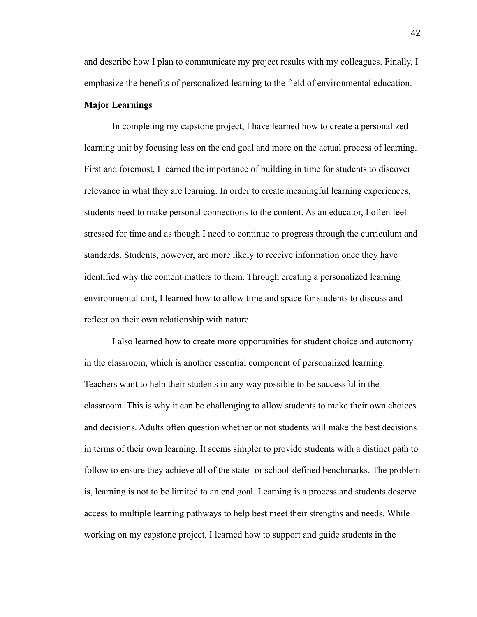and describe how I plan to communicate my project results with my colleagues. Finally, I emphasize the benefits of personalized learning to the field of environmental education.

## **Major Learnings**

In completing my capstone project, I have learned how to create a personalized learning unit by focusing less on the end goal and more on the actual process of learning. First and foremost, I learned the importance of building in time for students to discover relevance in what they are learning. In order to create meaningful learning experiences, students need to make personal connections to the content. As an educator, I often feel stressed for time and as though I need to continue to progress through the curriculum and standards. Students, however, are more likely to receive information once they have identified why the content matters to them. Through creating a personalized learning environmental unit, I learned how to allow time and space for students to discuss and reflect on their own relationship with nature.

I also learned how to create more opportunities for student choice and autonomy in the classroom, which is another essential component of personalized learning. Teachers want to help their students in any way possible to be successful in the classroom. This is why it can be challenging to allow students to make their own choices and decisions. Adults often question whether or not students will make the best decisions in terms of their own learning. It seems simpler to provide students with a distinct path to follow to ensure they achieve all of the state- or school-defined benchmarks. The problem is, learning is not to be limited to an end goal. Learning is a process and students deserve access to multiple learning pathways to help best meet their strengths and needs. While working on my capstone project, I learned how to support and guide students in the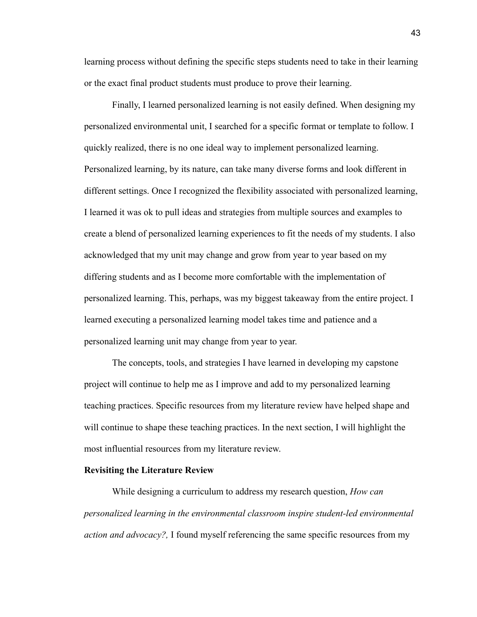learning process without defining the specific steps students need to take in their learning or the exact final product students must produce to prove their learning.

Finally, I learned personalized learning is not easily defined. When designing my personalized environmental unit, I searched for a specific format or template to follow. I quickly realized, there is no one ideal way to implement personalized learning. Personalized learning, by its nature, can take many diverse forms and look different in different settings. Once I recognized the flexibility associated with personalized learning, I learned it was ok to pull ideas and strategies from multiple sources and examples to create a blend of personalized learning experiences to fit the needs of my students. I also acknowledged that my unit may change and grow from year to year based on my differing students and as I become more comfortable with the implementation of personalized learning. This, perhaps, was my biggest takeaway from the entire project. I learned executing a personalized learning model takes time and patience and a personalized learning unit may change from year to year.

The concepts, tools, and strategies I have learned in developing my capstone project will continue to help me as I improve and add to my personalized learning teaching practices. Specific resources from my literature review have helped shape and will continue to shape these teaching practices. In the next section, I will highlight the most influential resources from my literature review.

#### **Revisiting the Literature Review**

While designing a curriculum to address my research question, *How can personalized learning in the environmental classroom inspire student-led environmental action and advocacy?,* I found myself referencing the same specific resources from my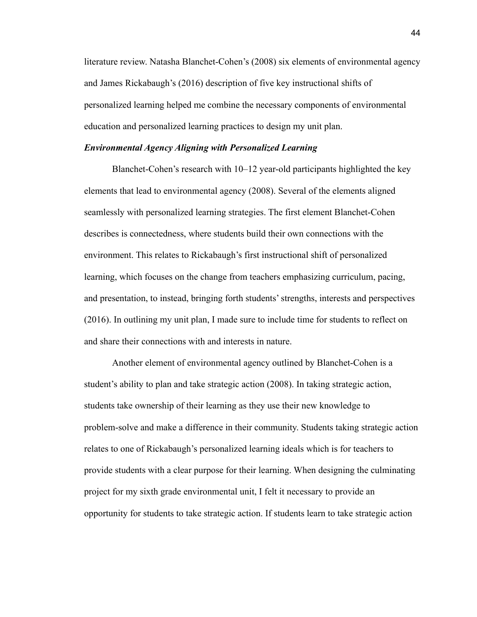literature review. Natasha Blanchet-Cohen's (2008) six elements of environmental agency and James Rickabaugh's (2016) description of five key instructional shifts of personalized learning helped me combine the necessary components of environmental education and personalized learning practices to design my unit plan.

#### *Environmental Agency Aligning with Personalized Learning*

Blanchet-Cohen's research with 10–12 year-old participants highlighted the key elements that lead to environmental agency (2008). Several of the elements aligned seamlessly with personalized learning strategies. The first element Blanchet-Cohen describes is connectedness, where students build their own connections with the environment. This relates to Rickabaugh's first instructional shift of personalized learning, which focuses on the change from teachers emphasizing curriculum, pacing, and presentation, to instead, bringing forth students' strengths, interests and perspectives (2016). In outlining my unit plan, I made sure to include time for students to reflect on and share their connections with and interests in nature.

Another element of environmental agency outlined by Blanchet-Cohen is a student's ability to plan and take strategic action (2008). In taking strategic action, students take ownership of their learning as they use their new knowledge to problem-solve and make a difference in their community. Students taking strategic action relates to one of Rickabaugh's personalized learning ideals which is for teachers to provide students with a clear purpose for their learning. When designing the culminating project for my sixth grade environmental unit, I felt it necessary to provide an opportunity for students to take strategic action. If students learn to take strategic action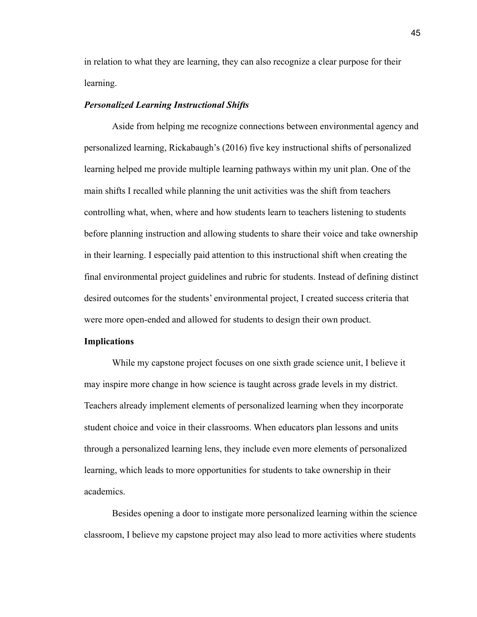in relation to what they are learning, they can also recognize a clear purpose for their learning.

## *Personalized Learning Instructional Shifts*

Aside from helping me recognize connections between environmental agency and personalized learning, Rickabaugh's (2016) five key instructional shifts of personalized learning helped me provide multiple learning pathways within my unit plan. One of the main shifts I recalled while planning the unit activities was the shift from teachers controlling what, when, where and how students learn to teachers listening to students before planning instruction and allowing students to share their voice and take ownership in their learning. I especially paid attention to this instructional shift when creating the final environmental project guidelines and rubric for students. Instead of defining distinct desired outcomes for the students' environmental project, I created success criteria that were more open-ended and allowed for students to design their own product.

#### **Implications**

While my capstone project focuses on one sixth grade science unit, I believe it may inspire more change in how science is taught across grade levels in my district. Teachers already implement elements of personalized learning when they incorporate student choice and voice in their classrooms. When educators plan lessons and units through a personalized learning lens, they include even more elements of personalized learning, which leads to more opportunities for students to take ownership in their academics.

Besides opening a door to instigate more personalized learning within the science classroom, I believe my capstone project may also lead to more activities where students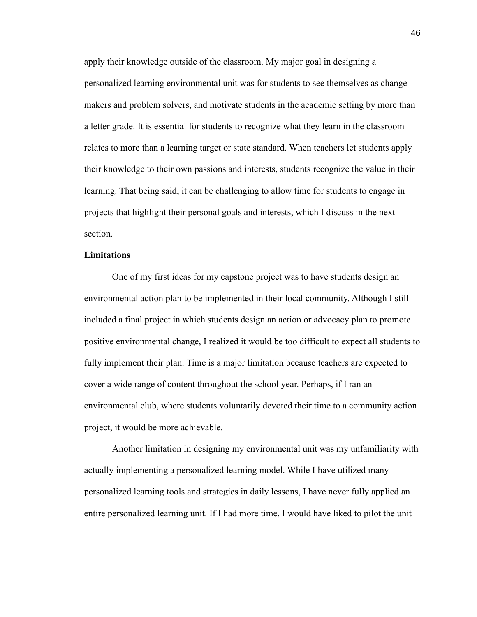apply their knowledge outside of the classroom. My major goal in designing a personalized learning environmental unit was for students to see themselves as change makers and problem solvers, and motivate students in the academic setting by more than a letter grade. It is essential for students to recognize what they learn in the classroom relates to more than a learning target or state standard. When teachers let students apply their knowledge to their own passions and interests, students recognize the value in their learning. That being said, it can be challenging to allow time for students to engage in projects that highlight their personal goals and interests, which I discuss in the next section.

## **Limitations**

One of my first ideas for my capstone project was to have students design an environmental action plan to be implemented in their local community. Although I still included a final project in which students design an action or advocacy plan to promote positive environmental change, I realized it would be too difficult to expect all students to fully implement their plan. Time is a major limitation because teachers are expected to cover a wide range of content throughout the school year. Perhaps, if I ran an environmental club, where students voluntarily devoted their time to a community action project, it would be more achievable.

Another limitation in designing my environmental unit was my unfamiliarity with actually implementing a personalized learning model. While I have utilized many personalized learning tools and strategies in daily lessons, I have never fully applied an entire personalized learning unit. If I had more time, I would have liked to pilot the unit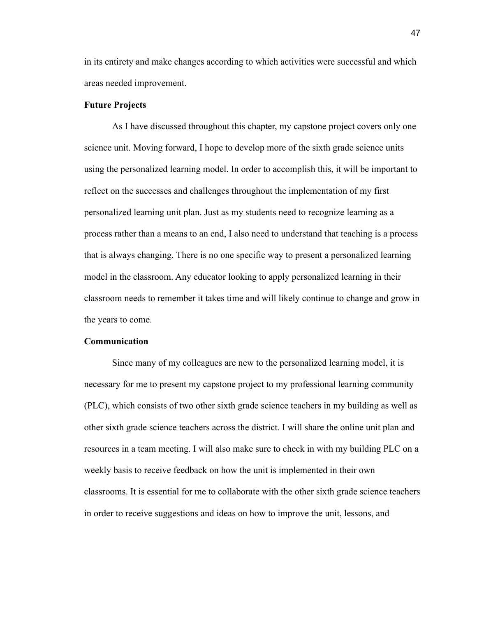in its entirety and make changes according to which activities were successful and which areas needed improvement.

## **Future Projects**

As I have discussed throughout this chapter, my capstone project covers only one science unit. Moving forward, I hope to develop more of the sixth grade science units using the personalized learning model. In order to accomplish this, it will be important to reflect on the successes and challenges throughout the implementation of my first personalized learning unit plan. Just as my students need to recognize learning as a process rather than a means to an end, I also need to understand that teaching is a process that is always changing. There is no one specific way to present a personalized learning model in the classroom. Any educator looking to apply personalized learning in their classroom needs to remember it takes time and will likely continue to change and grow in the years to come.

#### **Communication**

Since many of my colleagues are new to the personalized learning model, it is necessary for me to present my capstone project to my professional learning community (PLC), which consists of two other sixth grade science teachers in my building as well as other sixth grade science teachers across the district. I will share the online unit plan and resources in a team meeting. I will also make sure to check in with my building PLC on a weekly basis to receive feedback on how the unit is implemented in their own classrooms. It is essential for me to collaborate with the other sixth grade science teachers in order to receive suggestions and ideas on how to improve the unit, lessons, and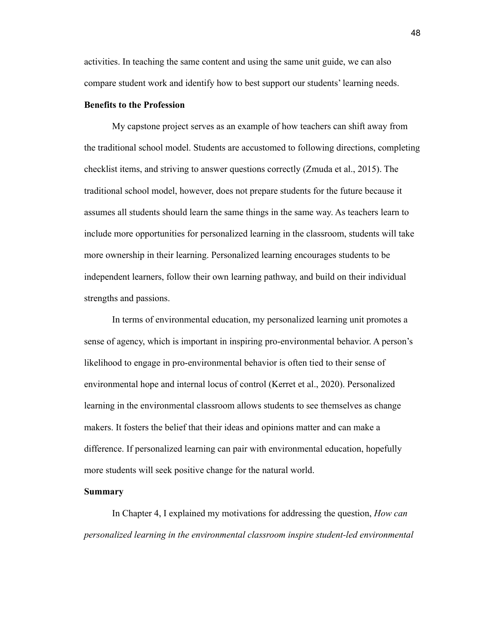activities. In teaching the same content and using the same unit guide, we can also compare student work and identify how to best support our students' learning needs.

## **Benefits to the Profession**

My capstone project serves as an example of how teachers can shift away from the traditional school model. Students are accustomed to following directions, completing checklist items, and striving to answer questions correctly (Zmuda et al., 2015). The traditional school model, however, does not prepare students for the future because it assumes all students should learn the same things in the same way. As teachers learn to include more opportunities for personalized learning in the classroom, students will take more ownership in their learning. Personalized learning encourages students to be independent learners, follow their own learning pathway, and build on their individual strengths and passions.

In terms of environmental education, my personalized learning unit promotes a sense of agency, which is important in inspiring pro-environmental behavior. A person's likelihood to engage in pro-environmental behavior is often tied to their sense of environmental hope and internal locus of control (Kerret et al., 2020). Personalized learning in the environmental classroom allows students to see themselves as change makers. It fosters the belief that their ideas and opinions matter and can make a difference. If personalized learning can pair with environmental education, hopefully more students will seek positive change for the natural world.

## **Summary**

In Chapter 4, I explained my motivations for addressing the question, *How can personalized learning in the environmental classroom inspire student-led environmental*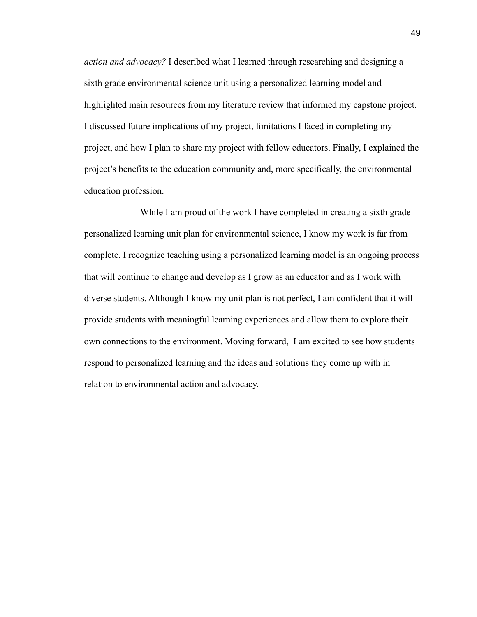*action and advocacy?* I described what I learned through researching and designing a sixth grade environmental science unit using a personalized learning model and highlighted main resources from my literature review that informed my capstone project. I discussed future implications of my project, limitations I faced in completing my project, and how I plan to share my project with fellow educators. Finally, I explained the project's benefits to the education community and, more specifically, the environmental education profession.

While I am proud of the work I have completed in creating a sixth grade personalized learning unit plan for environmental science, I know my work is far from complete. I recognize teaching using a personalized learning model is an ongoing process that will continue to change and develop as I grow as an educator and as I work with diverse students. Although I know my unit plan is not perfect, I am confident that it will provide students with meaningful learning experiences and allow them to explore their own connections to the environment. Moving forward, I am excited to see how students respond to personalized learning and the ideas and solutions they come up with in relation to environmental action and advocacy.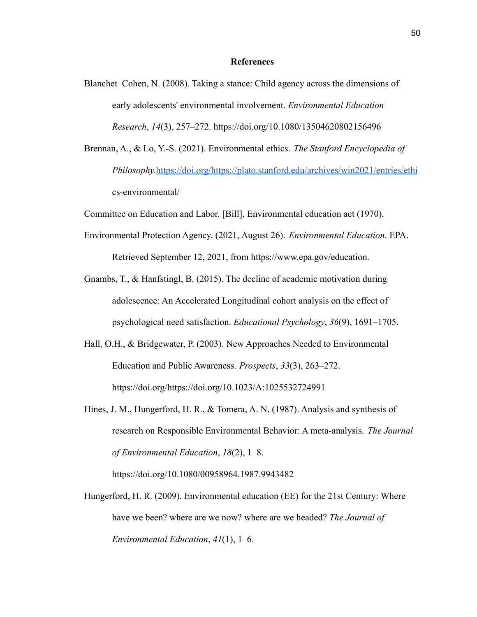#### **References**

- Blanchet–Cohen, N. (2008). Taking a stance: Child agency across the dimensions of early adolescents' environmental involvement. *Environmental Education Research*, *14*(3), 257–272. https://doi.org/10.1080/13504620802156496
- Brennan, A., & Lo, Y.-S. (2021). Environmental ethics. *The Stanford Encyclopedia of Philosophy.*<https://doi.org/https://plato.stanford.edu/archives/win2021/entries/ethi> cs-environmental/
- Committee on Education and Labor. [Bill], Environmental education act (1970).
- Environmental Protection Agency. (2021, August 26). *Environmental Education*. EPA. Retrieved September 12, 2021, from https://www.epa.gov/education.
- Gnambs, T., & Hanfstingl, B. (2015). The decline of academic motivation during adolescence: An Accelerated Longitudinal cohort analysis on the effect of psychological need satisfaction. *Educational Psychology*, *36*(9), 1691–1705.
- Hall, O.H., & Bridgewater, P. (2003). New Approaches Needed to Environmental Education and Public Awareness. *Prospects*, *33*(3), 263–272. https://doi.org/https://doi.org/10.1023/A:1025532724991
- Hines, J. M., Hungerford, H. R., & Tomera, A. N. (1987). Analysis and synthesis of research on Responsible Environmental Behavior: A meta-analysis. *The Journal of Environmental Education*, *18*(2), 1–8.

https://doi.org/10.1080/00958964.1987.9943482

Hungerford, H. R. (2009). Environmental education (EE) for the 21st Century: Where have we been? where are we now? where are we headed? *The Journal of Environmental Education*, *41*(1), 1–6.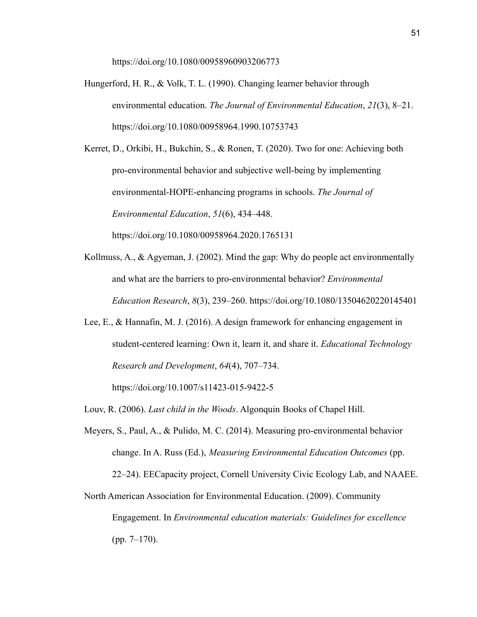https://doi.org/10.1080/00958960903206773

Hungerford, H. R., & Volk, T. L. (1990). Changing learner behavior through environmental education. *The Journal of Environmental Education*, *21*(3), 8–21. https://doi.org/10.1080/00958964.1990.10753743

Kerret, D., Orkibi, H., Bukchin, S., & Ronen, T. (2020). Two for one: Achieving both pro-environmental behavior and subjective well-being by implementing environmental-HOPE-enhancing programs in schools. *The Journal of Environmental Education*, *51*(6), 434–448. https://doi.org/10.1080/00958964.2020.1765131

- Kollmuss, A., & Agyeman, J. (2002). Mind the gap: Why do people act environmentally and what are the barriers to pro-environmental behavior? *Environmental Education Research*, *8*(3), 239–260. https://doi.org/10.1080/13504620220145401
- Lee, E., & Hannafin, M. J. (2016). A design framework for enhancing engagement in student-centered learning: Own it, learn it, and share it. *Educational Technology Research and Development*, *64*(4), 707–734. https://doi.org/10.1007/s11423-015-9422-5

Louv, R. (2006). *Last child in the Woods*. Algonquin Books of Chapel Hill.

Meyers, S., Paul, A., & Pulido, M. C. (2014). Measuring pro-environmental behavior change. In A. Russ (Ed.), *Measuring Environmental Education Outcomes* (pp.

22–24). EECapacity project, Cornell University Civic Ecology Lab, and NAAEE.

North American Association for Environmental Education. (2009). Community Engagement. In *Environmental education materials: Guidelines for excellence* (pp. 7–170).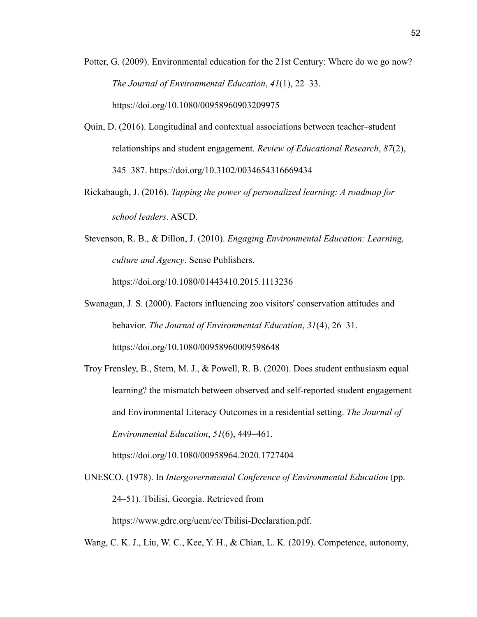- Potter, G. (2009). Environmental education for the 21st Century: Where do we go now? *The Journal of Environmental Education*, *41*(1), 22–33. https://doi.org/10.1080/00958960903209975
- Quin, D. (2016). Longitudinal and contextual associations between teacher–student relationships and student engagement. *Review of Educational Research*, *87*(2), 345–387. https://doi.org/10.3102/0034654316669434
- Rickabaugh, J. (2016). *Tapping the power of personalized learning: A roadmap for school leaders*. ASCD.
- Stevenson, R. B., & Dillon, J. (2010). *Engaging Environmental Education: Learning, culture and Agency*. Sense Publishers.

https://doi.org/10.1080/01443410.2015.1113236

- Swanagan, J. S. (2000). Factors influencing zoo visitors' conservation attitudes and behavior. *The Journal of Environmental Education*, *31*(4), 26–31. https://doi.org/10.1080/00958960009598648
- Troy Frensley, B., Stern, M. J., & Powell, R. B. (2020). Does student enthusiasm equal learning? the mismatch between observed and self-reported student engagement and Environmental Literacy Outcomes in a residential setting. *The Journal of Environmental Education*, *51*(6), 449–461.

https://doi.org/10.1080/00958964.2020.1727404

UNESCO. (1978). In *Intergovernmental Conference of Environmental Education* (pp. 24–51). Tbilisi, Georgia. Retrieved from https://www.gdrc.org/uem/ee/Tbilisi-Declaration.pdf.

Wang, C. K. J., Liu, W. C., Kee, Y. H., & Chian, L. K. (2019). Competence, autonomy,